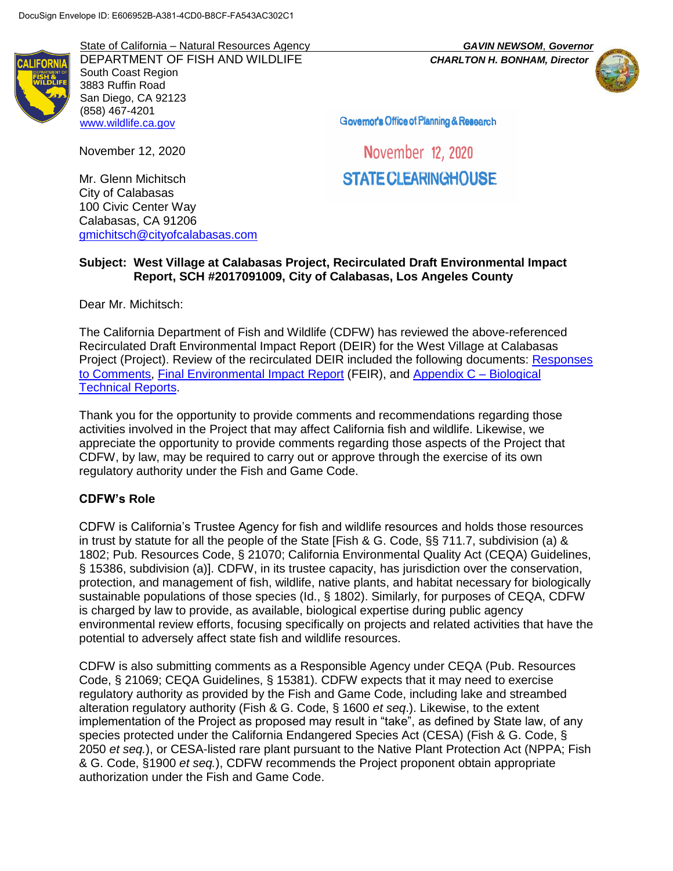State of California – Natural Resources Agency *GAVIN NEWSOM*, *Governor* DEPARTMENT OF FISH AND WILDLIFE *CHARLTON H. BONHAM, Director* South Coast Region 3883 Ruffin Road San Diego, CA 92123 (858) 467-4201 [www.wildlife.ca.gov](http://www.wildlife.ca.gov/)



Governor's Office of Planning & Research

November 12, 2020

November 12, 2020

STATE CLEARINGHOUSE

Mr. Glenn Michitsch City of Calabasas 100 Civic Center Way Calabasas, CA 91206 [gmichitsch@cityofcalabasas.com](mailto:gmichitsch@cityofcalabasas.com)

#### **Subject: West Village at Calabasas Project, Recirculated Draft Environmental Impact Report, SCH #2017091009, City of Calabasas, Los Angeles County**

Dear Mr. Michitsch:

The California Department of Fish and Wildlife (CDFW) has reviewed the above-referenced Recirculated Draft Environmental Impact Report (DEIR) for the West Village at Calabasas Project (Project). Review of the recirculated DEIR included the following documents: [Responses](https://www.cityofcalabasas.com/home/showdocument?id=6921)  [to Comments,](https://www.cityofcalabasas.com/home/showdocument?id=6921) [Final Environmental Impact Re](https://www.cityofcalabasas.com/home/showdocument?id=6925)port (FEIR), and [Appendix C –](https://www.cityofcalabasas.com/home/showdocument?id=6909) Biological [Technical Reports.](https://www.cityofcalabasas.com/home/showdocument?id=6909)

Thank you for the opportunity to provide comments and recommendations regarding those activities involved in the Project that may affect California fish and wildlife. Likewise, we appreciate the opportunity to provide comments regarding those aspects of the Project that CDFW, by law, may be required to carry out or approve through the exercise of its own regulatory authority under the Fish and Game Code.

#### **CDFW's Role**

CDFW is California's Trustee Agency for fish and wildlife resources and holds those resources in trust by statute for all the people of the State [Fish & G. Code, §§ 711.7, subdivision (a) & 1802; Pub. Resources Code, § 21070; California Environmental Quality Act (CEQA) Guidelines, § 15386, subdivision (a)]. CDFW, in its trustee capacity, has jurisdiction over the conservation, protection, and management of fish, wildlife, native plants, and habitat necessary for biologically sustainable populations of those species (Id., § 1802). Similarly, for purposes of CEQA, CDFW is charged by law to provide, as available, biological expertise during public agency environmental review efforts, focusing specifically on projects and related activities that have the potential to adversely affect state fish and wildlife resources.

CDFW is also submitting comments as a Responsible Agency under CEQA (Pub. Resources Code, § 21069; CEQA Guidelines, § 15381). CDFW expects that it may need to exercise regulatory authority as provided by the Fish and Game Code, including lake and streambed alteration regulatory authority (Fish & G. Code, § 1600 *et seq*.). Likewise, to the extent implementation of the Project as proposed may result in "take", as defined by State law, of any species protected under the California Endangered Species Act (CESA) (Fish & G. Code, § 2050 *et seq.*), or CESA-listed rare plant pursuant to the Native Plant Protection Act (NPPA; Fish & G. Code, §1900 *et seq.*), CDFW recommends the Project proponent obtain appropriate authorization under the Fish and Game Code.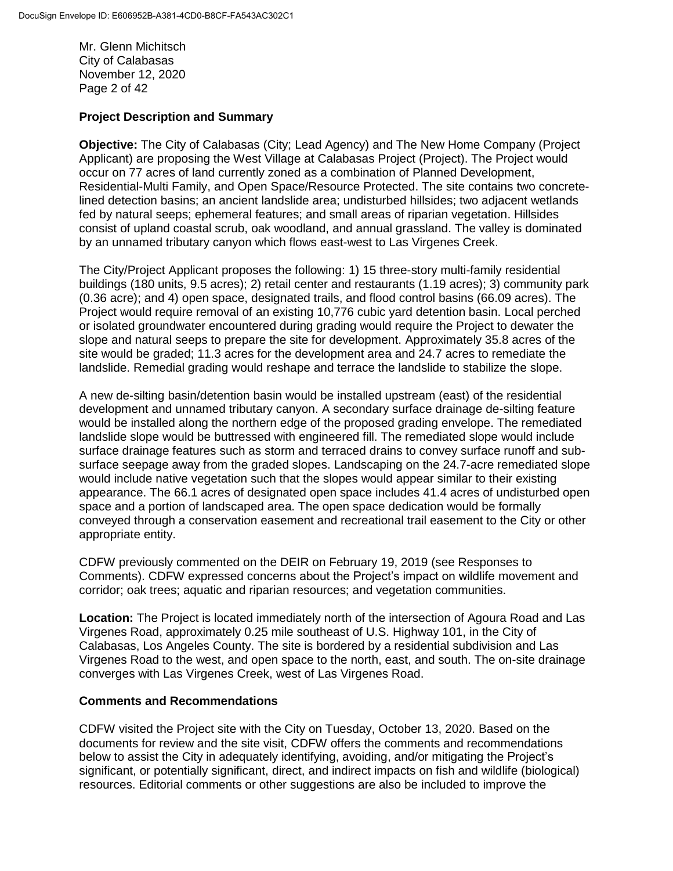Mr. Glenn Michitsch City of Calabasas November 12, 2020 Page 2 of 42

### **Project Description and Summary**

**Objective:** The City of Calabasas (City; Lead Agency) and The New Home Company (Project Applicant) are proposing the West Village at Calabasas Project (Project). The Project would occur on 77 acres of land currently zoned as a combination of Planned Development, Residential-Multi Family, and Open Space/Resource Protected. The site contains two concretelined detection basins; an ancient landslide area; undisturbed hillsides; two adjacent wetlands fed by natural seeps; ephemeral features; and small areas of riparian vegetation. Hillsides consist of upland coastal scrub, oak woodland, and annual grassland. The valley is dominated by an unnamed tributary canyon which flows east-west to Las Virgenes Creek.

The City/Project Applicant proposes the following: 1) 15 three-story multi-family residential buildings (180 units, 9.5 acres); 2) retail center and restaurants (1.19 acres); 3) community park (0.36 acre); and 4) open space, designated trails, and flood control basins (66.09 acres). The Project would require removal of an existing 10,776 cubic yard detention basin. Local perched or isolated groundwater encountered during grading would require the Project to dewater the slope and natural seeps to prepare the site for development. Approximately 35.8 acres of the site would be graded; 11.3 acres for the development area and 24.7 acres to remediate the landslide. Remedial grading would reshape and terrace the landslide to stabilize the slope.

A new de-silting basin/detention basin would be installed upstream (east) of the residential development and unnamed tributary canyon. A secondary surface drainage de-silting feature would be installed along the northern edge of the proposed grading envelope. The remediated landslide slope would be buttressed with engineered fill. The remediated slope would include surface drainage features such as storm and terraced drains to convey surface runoff and subsurface seepage away from the graded slopes. Landscaping on the 24.7-acre remediated slope would include native vegetation such that the slopes would appear similar to their existing appearance. The 66.1 acres of designated open space includes 41.4 acres of undisturbed open space and a portion of landscaped area. The open space dedication would be formally conveyed through a conservation easement and recreational trail easement to the City or other appropriate entity.

CDFW previously commented on the DEIR on February 19, 2019 (see Responses to Comments). CDFW expressed concerns about the Project's impact on wildlife movement and corridor; oak trees; aquatic and riparian resources; and vegetation communities.

**Location:** The Project is located immediately north of the intersection of Agoura Road and Las Virgenes Road, approximately 0.25 mile southeast of U.S. Highway 101, in the City of Calabasas, Los Angeles County. The site is bordered by a residential subdivision and Las Virgenes Road to the west, and open space to the north, east, and south. The on-site drainage converges with Las Virgenes Creek, west of Las Virgenes Road.

#### **Comments and Recommendations**

CDFW visited the Project site with the City on Tuesday, October 13, 2020. Based on the documents for review and the site visit, CDFW offers the comments and recommendations below to assist the City in adequately identifying, avoiding, and/or mitigating the Project's significant, or potentially significant, direct, and indirect impacts on fish and wildlife (biological) resources. Editorial comments or other suggestions are also be included to improve the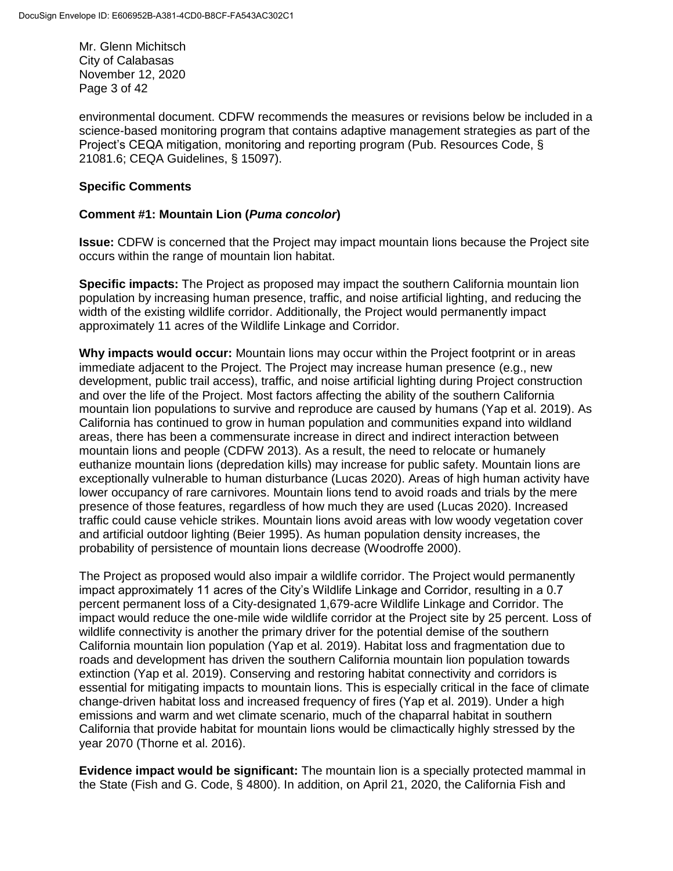Mr. Glenn Michitsch City of Calabasas November 12, 2020 Page 3 of 42

environmental document. CDFW recommends the measures or revisions below be included in a science-based monitoring program that contains adaptive management strategies as part of the Project's CEQA mitigation, monitoring and reporting program (Pub. Resources Code, § 21081.6; CEQA Guidelines, § 15097).

## **Specific Comments**

## **Comment #1: Mountain Lion (***Puma concolor***)**

**Issue:** CDFW is concerned that the Project may impact mountain lions because the Project site occurs within the range of mountain lion habitat.

**Specific impacts:** The Project as proposed may impact the southern California mountain lion population by increasing human presence, traffic, and noise artificial lighting, and reducing the width of the existing wildlife corridor. Additionally, the Project would permanently impact approximately 11 acres of the Wildlife Linkage and Corridor.

**Why impacts would occur:** Mountain lions may occur within the Project footprint or in areas immediate adjacent to the Project. The Project may increase human presence (e.g., new development, public trail access), traffic, and noise artificial lighting during Project construction and over the life of the Project. Most factors affecting the ability of the southern California mountain lion populations to survive and reproduce are caused by humans (Yap et al. 2019). As California has continued to grow in human population and communities expand into wildland areas, there has been a commensurate increase in direct and indirect interaction between mountain lions and people (CDFW 2013). As a result, the need to relocate or humanely euthanize mountain lions (depredation kills) may increase for public safety. Mountain lions are exceptionally vulnerable to human disturbance (Lucas 2020). Areas of high human activity have lower occupancy of rare carnivores. Mountain lions tend to avoid roads and trials by the mere presence of those features, regardless of how much they are used (Lucas 2020). Increased traffic could cause vehicle strikes. Mountain lions avoid areas with low woody vegetation cover and artificial outdoor lighting (Beier 1995). As human population density increases, the probability of persistence of mountain lions decrease (Woodroffe 2000).

The Project as proposed would also impair a wildlife corridor. The Project would permanently impact approximately 11 acres of the City's Wildlife Linkage and Corridor, resulting in a 0.7 percent permanent loss of a City-designated 1,679-acre Wildlife Linkage and Corridor. The impact would reduce the one-mile wide wildlife corridor at the Project site by 25 percent. Loss of wildlife connectivity is another the primary driver for the potential demise of the southern California mountain lion population (Yap et al. 2019). Habitat loss and fragmentation due to roads and development has driven the southern California mountain lion population towards extinction (Yap et al. 2019). Conserving and restoring habitat connectivity and corridors is essential for mitigating impacts to mountain lions. This is especially critical in the face of climate change-driven habitat loss and increased frequency of fires (Yap et al. 2019). Under a high emissions and warm and wet climate scenario, much of the chaparral habitat in southern California that provide habitat for mountain lions would be climactically highly stressed by the year 2070 (Thorne et al. 2016).

**Evidence impact would be significant:** The mountain lion is a specially protected mammal in the State (Fish and G. Code, § 4800). In addition, on April 21, 2020, the California Fish and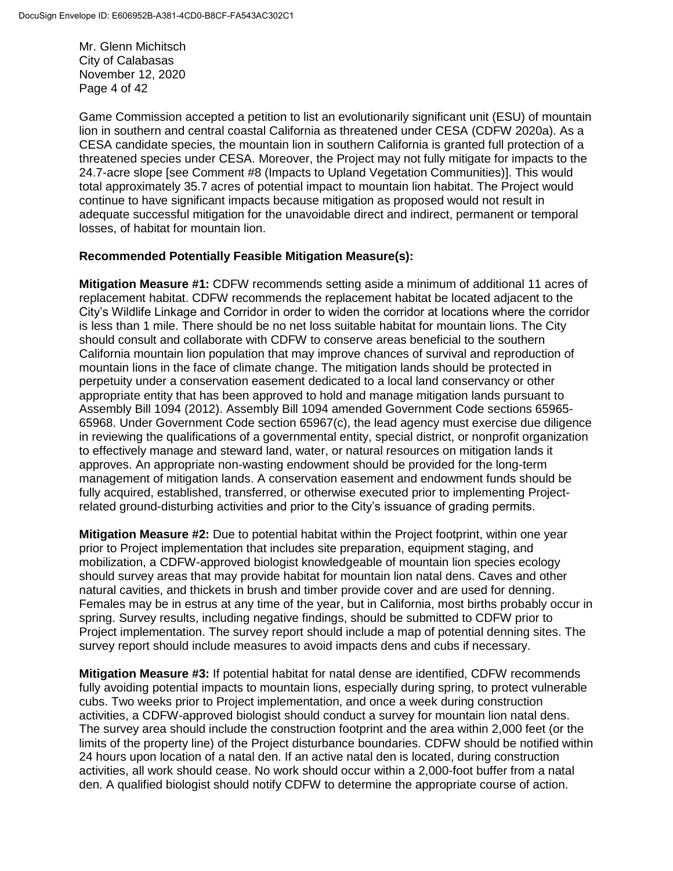Mr. Glenn Michitsch City of Calabasas November 12, 2020 Page 4 of 42

Game Commission accepted a petition to list an evolutionarily significant unit (ESU) of mountain lion in southern and central coastal California as threatened under CESA (CDFW 2020a). As a CESA candidate species, the mountain lion in southern California is granted full protection of a threatened species under CESA. Moreover, the Project may not fully mitigate for impacts to the 24.7-acre slope [see Comment #8 (Impacts to Upland Vegetation Communities)]. This would total approximately 35.7 acres of potential impact to mountain lion habitat. The Project would continue to have significant impacts because mitigation as proposed would not result in adequate successful mitigation for the unavoidable direct and indirect, permanent or temporal losses, of habitat for mountain lion.

### **Recommended Potentially Feasible Mitigation Measure(s):**

**Mitigation Measure #1:** CDFW recommends setting aside a minimum of additional 11 acres of replacement habitat. CDFW recommends the replacement habitat be located adjacent to the City's Wildlife Linkage and Corridor in order to widen the corridor at locations where the corridor is less than 1 mile. There should be no net loss suitable habitat for mountain lions. The City should consult and collaborate with CDFW to conserve areas beneficial to the southern California mountain lion population that may improve chances of survival and reproduction of mountain lions in the face of climate change. The mitigation lands should be protected in perpetuity under a conservation easement dedicated to a local land conservancy or other appropriate entity that has been approved to hold and manage mitigation lands pursuant to Assembly Bill 1094 (2012). Assembly Bill 1094 amended Government Code sections 65965- 65968. Under Government Code section 65967(c), the lead agency must exercise due diligence in reviewing the qualifications of a governmental entity, special district, or nonprofit organization to effectively manage and steward land, water, or natural resources on mitigation lands it approves. An appropriate non-wasting endowment should be provided for the long-term management of mitigation lands. A conservation easement and endowment funds should be fully acquired, established, transferred, or otherwise executed prior to implementing Projectrelated ground-disturbing activities and prior to the City's issuance of grading permits.

**Mitigation Measure #2:** Due to potential habitat within the Project footprint, within one year prior to Project implementation that includes site preparation, equipment staging, and mobilization, a CDFW-approved biologist knowledgeable of mountain lion species ecology should survey areas that may provide habitat for mountain lion natal dens. Caves and other natural cavities, and thickets in brush and timber provide cover and are used for denning. Females may be in estrus at any time of the year, but in California, most births probably occur in spring. Survey results, including negative findings, should be submitted to CDFW prior to Project implementation. The survey report should include a map of potential denning sites. The survey report should include measures to avoid impacts dens and cubs if necessary.

**Mitigation Measure #3:** If potential habitat for natal dense are identified, CDFW recommends fully avoiding potential impacts to mountain lions, especially during spring, to protect vulnerable cubs. Two weeks prior to Project implementation, and once a week during construction activities, a CDFW-approved biologist should conduct a survey for mountain lion natal dens. The survey area should include the construction footprint and the area within 2,000 feet (or the limits of the property line) of the Project disturbance boundaries. CDFW should be notified within 24 hours upon location of a natal den. If an active natal den is located, during construction activities, all work should cease. No work should occur within a 2,000-foot buffer from a natal den. A qualified biologist should notify CDFW to determine the appropriate course of action.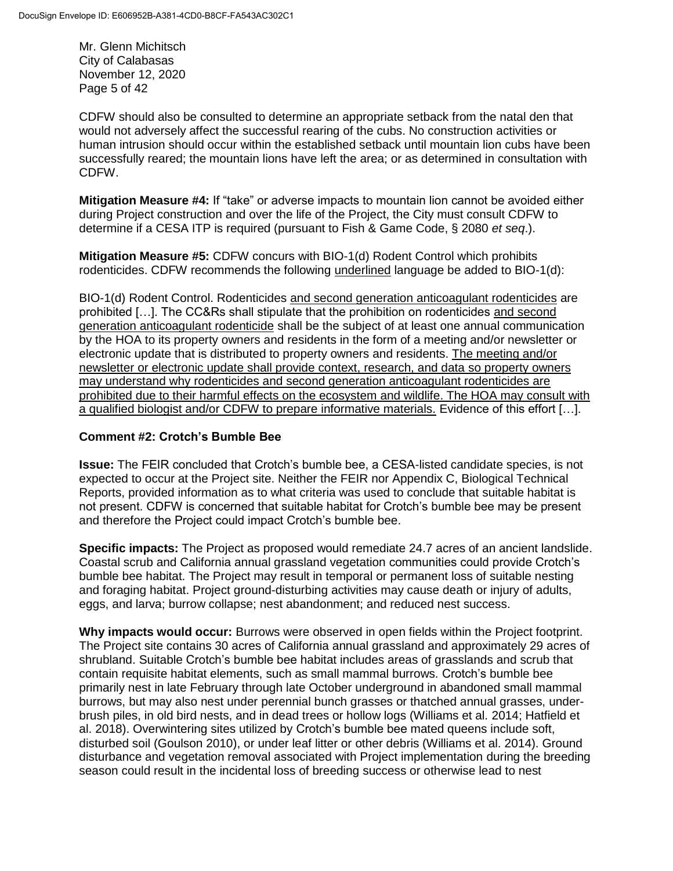Mr. Glenn Michitsch City of Calabasas November 12, 2020 Page 5 of 42

CDFW should also be consulted to determine an appropriate setback from the natal den that would not adversely affect the successful rearing of the cubs. No construction activities or human intrusion should occur within the established setback until mountain lion cubs have been successfully reared; the mountain lions have left the area; or as determined in consultation with CDFW.

**Mitigation Measure #4:** If "take" or adverse impacts to mountain lion cannot be avoided either during Project construction and over the life of the Project, the City must consult CDFW to determine if a CESA ITP is required (pursuant to Fish & Game Code, § 2080 *et seq*.).

**Mitigation Measure #5:** CDFW concurs with BIO-1(d) Rodent Control which prohibits rodenticides. CDFW recommends the following underlined language be added to BIO-1(d):

BIO-1(d) Rodent Control. Rodenticides and second generation anticoagulant rodenticides are prohibited […]. The CC&Rs shall stipulate that the prohibition on rodenticides and second generation anticoagulant rodenticide shall be the subject of at least one annual communication by the HOA to its property owners and residents in the form of a meeting and/or newsletter or electronic update that is distributed to property owners and residents. The meeting and/or newsletter or electronic update shall provide context, research, and data so property owners may understand why rodenticides and second generation anticoagulant rodenticides are prohibited due to their harmful effects on the ecosystem and wildlife. The HOA may consult with a qualified biologist and/or CDFW to prepare informative materials. Evidence of this effort […].

### **Comment #2: Crotch's Bumble Bee**

**Issue:** The FEIR concluded that Crotch's bumble bee, a CESA-listed candidate species, is not expected to occur at the Project site. Neither the FEIR nor Appendix C, Biological Technical Reports, provided information as to what criteria was used to conclude that suitable habitat is not present. CDFW is concerned that suitable habitat for Crotch's bumble bee may be present and therefore the Project could impact Crotch's bumble bee.

**Specific impacts:** The Project as proposed would remediate 24.7 acres of an ancient landslide. Coastal scrub and California annual grassland vegetation communities could provide Crotch's bumble bee habitat. The Project may result in temporal or permanent loss of suitable nesting and foraging habitat. Project ground-disturbing activities may cause death or injury of adults, eggs, and larva; burrow collapse; nest abandonment; and reduced nest success.

**Why impacts would occur:** Burrows were observed in open fields within the Project footprint. The Project site contains 30 acres of California annual grassland and approximately 29 acres of shrubland. Suitable Crotch's bumble bee habitat includes areas of grasslands and scrub that contain requisite habitat elements, such as small mammal burrows. Crotch's bumble bee primarily nest in late February through late October underground in abandoned small mammal burrows, but may also nest under perennial bunch grasses or thatched annual grasses, underbrush piles, in old bird nests, and in dead trees or hollow logs (Williams et al. 2014; Hatfield et al. 2018). Overwintering sites utilized by Crotch's bumble bee mated queens include soft, disturbed soil (Goulson 2010), or under leaf litter or other debris (Williams et al. 2014). Ground disturbance and vegetation removal associated with Project implementation during the breeding season could result in the incidental loss of breeding success or otherwise lead to nest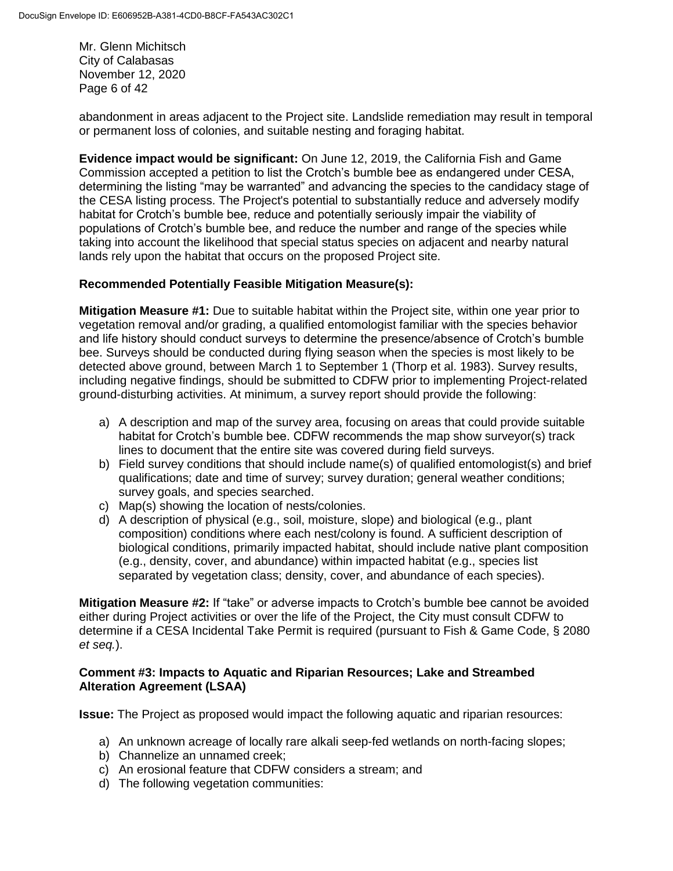Mr. Glenn Michitsch City of Calabasas November 12, 2020 Page 6 of 42

abandonment in areas adjacent to the Project site. Landslide remediation may result in temporal or permanent loss of colonies, and suitable nesting and foraging habitat.

**Evidence impact would be significant:** On June 12, 2019, the California Fish and Game Commission accepted a petition to list the Crotch's bumble bee as endangered under CESA, determining the listing "may be warranted" and advancing the species to the candidacy stage of the CESA listing process. The Project's potential to substantially reduce and adversely modify habitat for Crotch's bumble bee, reduce and potentially seriously impair the viability of populations of Crotch's bumble bee, and reduce the number and range of the species while taking into account the likelihood that special status species on adjacent and nearby natural lands rely upon the habitat that occurs on the proposed Project site.

# **Recommended Potentially Feasible Mitigation Measure(s):**

**Mitigation Measure #1:** Due to suitable habitat within the Project site, within one year prior to vegetation removal and/or grading, a qualified entomologist familiar with the species behavior and life history should conduct surveys to determine the presence/absence of Crotch's bumble bee. Surveys should be conducted during flying season when the species is most likely to be detected above ground, between March 1 to September 1 (Thorp et al. 1983). Survey results, including negative findings, should be submitted to CDFW prior to implementing Project-related ground-disturbing activities. At minimum, a survey report should provide the following:

- a) A description and map of the survey area, focusing on areas that could provide suitable habitat for Crotch's bumble bee. CDFW recommends the map show surveyor(s) track lines to document that the entire site was covered during field surveys.
- b) Field survey conditions that should include name(s) of qualified entomologist(s) and brief qualifications; date and time of survey; survey duration; general weather conditions; survey goals, and species searched.
- c) Map(s) showing the location of nests/colonies.
- d) A description of physical (e.g., soil, moisture, slope) and biological (e.g., plant composition) conditions where each nest/colony is found. A sufficient description of biological conditions, primarily impacted habitat, should include native plant composition (e.g., density, cover, and abundance) within impacted habitat (e.g., species list separated by vegetation class; density, cover, and abundance of each species).

**Mitigation Measure #2:** If "take" or adverse impacts to Crotch's bumble bee cannot be avoided either during Project activities or over the life of the Project, the City must consult CDFW to determine if a CESA Incidental Take Permit is required (pursuant to Fish & Game Code, § 2080 *et seq.*).

### **Comment #3: Impacts to Aquatic and Riparian Resources; Lake and Streambed Alteration Agreement (LSAA)**

**Issue:** The Project as proposed would impact the following aquatic and riparian resources:

- a) An unknown acreage of locally rare alkali seep-fed wetlands on north-facing slopes;
- b) Channelize an unnamed creek;
- c) An erosional feature that CDFW considers a stream; and
- d) The following vegetation communities: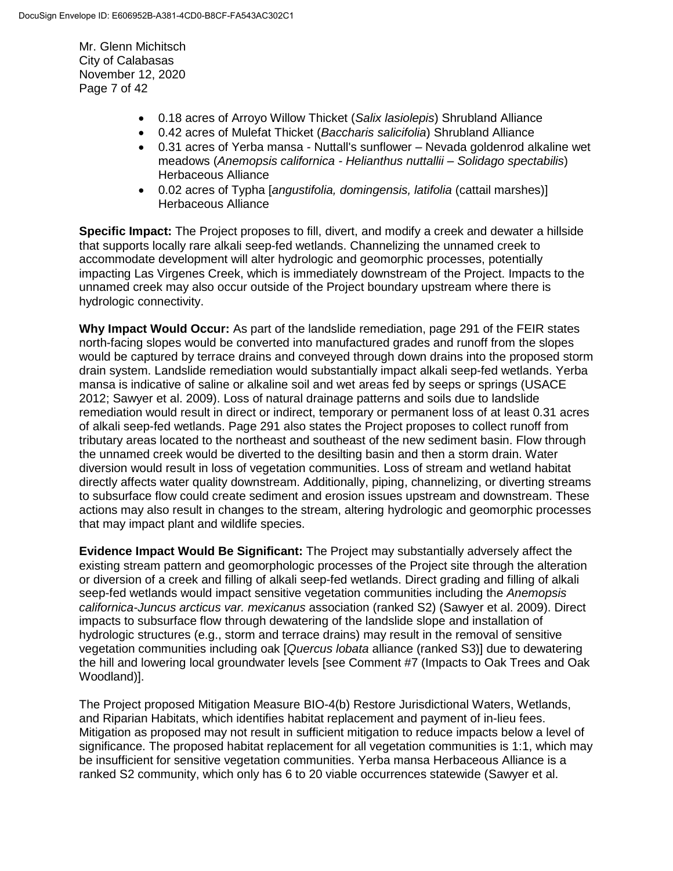Mr. Glenn Michitsch City of Calabasas November 12, 2020 Page 7 of 42

- 0.18 acres of Arroyo Willow Thicket (*Salix lasiolepis*) Shrubland Alliance
- 0.42 acres of Mulefat Thicket (*Baccharis salicifolia*) Shrubland Alliance
- 0.31 acres of Yerba mansa Nuttall's sunflower Nevada goldenrod alkaline wet meadows (*Anemopsis californica - Helianthus nuttallii – Solidago spectabilis*) Herbaceous Alliance
- 0.02 acres of Typha [*angustifolia, domingensis, latifolia* (cattail marshes)] Herbaceous Alliance

**Specific Impact:** The Project proposes to fill, divert, and modify a creek and dewater a hillside that supports locally rare alkali seep-fed wetlands. Channelizing the unnamed creek to accommodate development will alter hydrologic and geomorphic processes, potentially impacting Las Virgenes Creek, which is immediately downstream of the Project. Impacts to the unnamed creek may also occur outside of the Project boundary upstream where there is hydrologic connectivity.

**Why Impact Would Occur:** As part of the landslide remediation, page 291 of the FEIR states north-facing slopes would be converted into manufactured grades and runoff from the slopes would be captured by terrace drains and conveyed through down drains into the proposed storm drain system. Landslide remediation would substantially impact alkali seep-fed wetlands. Yerba mansa is indicative of saline or alkaline soil and wet areas fed by seeps or springs (USACE 2012; Sawyer et al. 2009). Loss of natural drainage patterns and soils due to landslide remediation would result in direct or indirect, temporary or permanent loss of at least 0.31 acres of alkali seep-fed wetlands. Page 291 also states the Project proposes to collect runoff from tributary areas located to the northeast and southeast of the new sediment basin. Flow through the unnamed creek would be diverted to the desilting basin and then a storm drain. Water diversion would result in loss of vegetation communities. Loss of stream and wetland habitat directly affects water quality downstream. Additionally, piping, channelizing, or diverting streams to subsurface flow could create sediment and erosion issues upstream and downstream. These actions may also result in changes to the stream, altering hydrologic and geomorphic processes that may impact plant and wildlife species.

**Evidence Impact Would Be Significant:** The Project may substantially adversely affect the existing stream pattern and geomorphologic processes of the Project site through the alteration or diversion of a creek and filling of alkali seep-fed wetlands. Direct grading and filling of alkali seep-fed wetlands would impact sensitive vegetation communities including the *Anemopsis californica-Juncus arcticus var. mexicanus* association (ranked S2) (Sawyer et al. 2009). Direct impacts to subsurface flow through dewatering of the landslide slope and installation of hydrologic structures (e.g., storm and terrace drains) may result in the removal of sensitive vegetation communities including oak [*Quercus lobata* alliance (ranked S3)] due to dewatering the hill and lowering local groundwater levels [see Comment #7 (Impacts to Oak Trees and Oak Woodland)].

The Project proposed Mitigation Measure BIO-4(b) Restore Jurisdictional Waters, Wetlands, and Riparian Habitats, which identifies habitat replacement and payment of in-lieu fees. Mitigation as proposed may not result in sufficient mitigation to reduce impacts below a level of significance. The proposed habitat replacement for all vegetation communities is 1:1, which may be insufficient for sensitive vegetation communities. Yerba mansa Herbaceous Alliance is a ranked S2 community, which only has 6 to 20 viable occurrences statewide (Sawyer et al.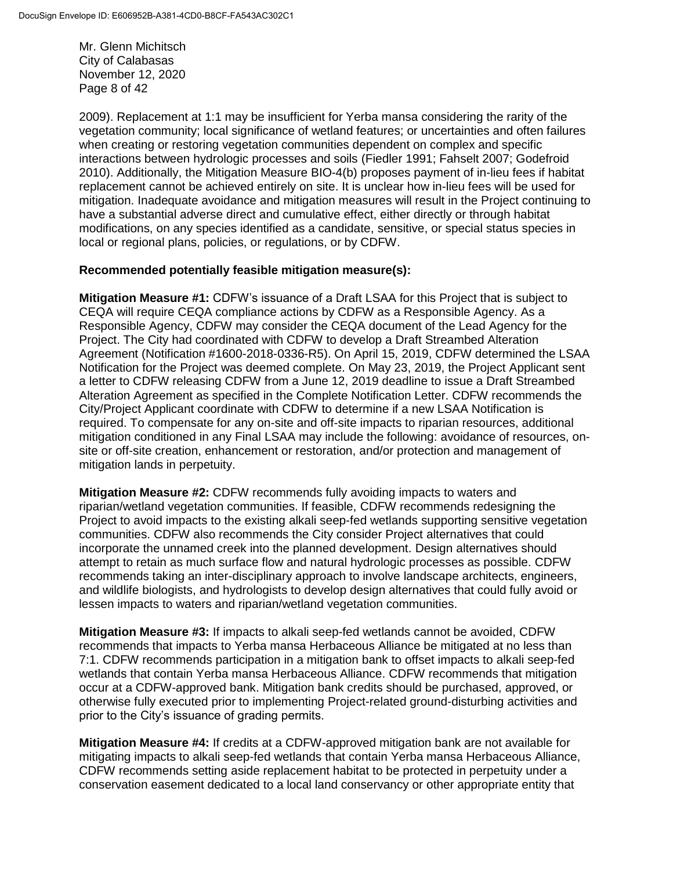Mr. Glenn Michitsch City of Calabasas November 12, 2020 Page 8 of 42

2009). Replacement at 1:1 may be insufficient for Yerba mansa considering the rarity of the vegetation community; local significance of wetland features; or uncertainties and often failures when creating or restoring vegetation communities dependent on complex and specific interactions between hydrologic processes and soils (Fiedler 1991; Fahselt 2007; Godefroid 2010). Additionally, the Mitigation Measure BIO-4(b) proposes payment of in-lieu fees if habitat replacement cannot be achieved entirely on site. It is unclear how in-lieu fees will be used for mitigation. Inadequate avoidance and mitigation measures will result in the Project continuing to have a substantial adverse direct and cumulative effect, either directly or through habitat modifications, on any species identified as a candidate, sensitive, or special status species in local or regional plans, policies, or regulations, or by CDFW.

### **Recommended potentially feasible mitigation measure(s):**

**Mitigation Measure #1:** CDFW's issuance of a Draft LSAA for this Project that is subject to CEQA will require CEQA compliance actions by CDFW as a Responsible Agency. As a Responsible Agency, CDFW may consider the CEQA document of the Lead Agency for the Project. The City had coordinated with CDFW to develop a Draft Streambed Alteration Agreement (Notification #1600-2018-0336-R5). On April 15, 2019, CDFW determined the LSAA Notification for the Project was deemed complete. On May 23, 2019, the Project Applicant sent a letter to CDFW releasing CDFW from a June 12, 2019 deadline to issue a Draft Streambed Alteration Agreement as specified in the Complete Notification Letter. CDFW recommends the City/Project Applicant coordinate with CDFW to determine if a new LSAA Notification is required. To compensate for any on-site and off-site impacts to riparian resources, additional mitigation conditioned in any Final LSAA may include the following: avoidance of resources, onsite or off-site creation, enhancement or restoration, and/or protection and management of mitigation lands in perpetuity.

**Mitigation Measure #2:** CDFW recommends fully avoiding impacts to waters and riparian/wetland vegetation communities. If feasible, CDFW recommends redesigning the Project to avoid impacts to the existing alkali seep-fed wetlands supporting sensitive vegetation communities. CDFW also recommends the City consider Project alternatives that could incorporate the unnamed creek into the planned development. Design alternatives should attempt to retain as much surface flow and natural hydrologic processes as possible. CDFW recommends taking an inter-disciplinary approach to involve landscape architects, engineers, and wildlife biologists, and hydrologists to develop design alternatives that could fully avoid or lessen impacts to waters and riparian/wetland vegetation communities.

**Mitigation Measure #3:** If impacts to alkali seep-fed wetlands cannot be avoided, CDFW recommends that impacts to Yerba mansa Herbaceous Alliance be mitigated at no less than 7:1. CDFW recommends participation in a mitigation bank to offset impacts to alkali seep-fed wetlands that contain Yerba mansa Herbaceous Alliance. CDFW recommends that mitigation occur at a CDFW-approved bank. Mitigation bank credits should be purchased, approved, or otherwise fully executed prior to implementing Project-related ground-disturbing activities and prior to the City's issuance of grading permits.

**Mitigation Measure #4:** If credits at a CDFW-approved mitigation bank are not available for mitigating impacts to alkali seep-fed wetlands that contain Yerba mansa Herbaceous Alliance, CDFW recommends setting aside replacement habitat to be protected in perpetuity under a conservation easement dedicated to a local land conservancy or other appropriate entity that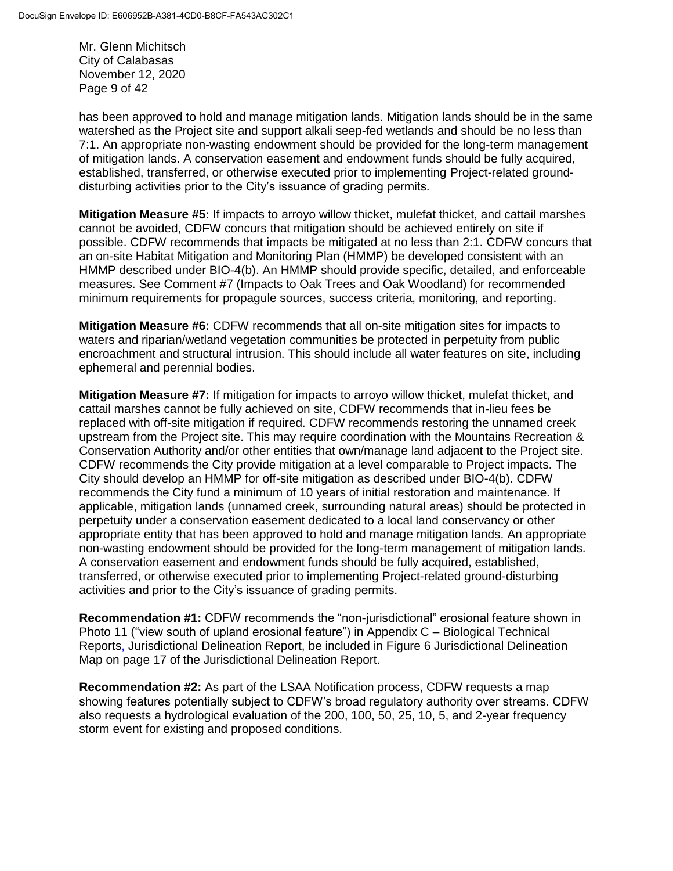Mr. Glenn Michitsch City of Calabasas November 12, 2020 Page 9 of 42

has been approved to hold and manage mitigation lands. Mitigation lands should be in the same watershed as the Project site and support alkali seep-fed wetlands and should be no less than 7:1. An appropriate non-wasting endowment should be provided for the long-term management of mitigation lands. A conservation easement and endowment funds should be fully acquired, established, transferred, or otherwise executed prior to implementing Project-related grounddisturbing activities prior to the City's issuance of grading permits.

**Mitigation Measure #5:** If impacts to arroyo willow thicket, mulefat thicket, and cattail marshes cannot be avoided, CDFW concurs that mitigation should be achieved entirely on site if possible. CDFW recommends that impacts be mitigated at no less than 2:1. CDFW concurs that an on-site Habitat Mitigation and Monitoring Plan (HMMP) be developed consistent with an HMMP described under BIO-4(b). An HMMP should provide specific, detailed, and enforceable measures. See Comment #7 (Impacts to Oak Trees and Oak Woodland) for recommended minimum requirements for propagule sources, success criteria, monitoring, and reporting.

**Mitigation Measure #6:** CDFW recommends that all on-site mitigation sites for impacts to waters and riparian/wetland vegetation communities be protected in perpetuity from public encroachment and structural intrusion. This should include all water features on site, including ephemeral and perennial bodies.

**Mitigation Measure #7:** If mitigation for impacts to arroyo willow thicket, mulefat thicket, and cattail marshes cannot be fully achieved on site, CDFW recommends that in-lieu fees be replaced with off-site mitigation if required. CDFW recommends restoring the unnamed creek upstream from the Project site. This may require coordination with the Mountains Recreation & Conservation Authority and/or other entities that own/manage land adjacent to the Project site. CDFW recommends the City provide mitigation at a level comparable to Project impacts. The City should develop an HMMP for off-site mitigation as described under BIO-4(b). CDFW recommends the City fund a minimum of 10 years of initial restoration and maintenance. If applicable, mitigation lands (unnamed creek, surrounding natural areas) should be protected in perpetuity under a conservation easement dedicated to a local land conservancy or other appropriate entity that has been approved to hold and manage mitigation lands. An appropriate non-wasting endowment should be provided for the long-term management of mitigation lands. A conservation easement and endowment funds should be fully acquired, established, transferred, or otherwise executed prior to implementing Project-related ground-disturbing activities and prior to the City's issuance of grading permits.

**Recommendation #1:** CDFW recommends the "non-jurisdictional" erosional feature shown in Photo 11 ("view south of upland erosional feature") in Appendix C – Biological Technical Reports, Jurisdictional Delineation Report, be included in Figure 6 Jurisdictional Delineation Map on page 17 of the Jurisdictional Delineation Report.

**Recommendation #2:** As part of the LSAA Notification process, CDFW requests a map showing features potentially subject to CDFW's broad regulatory authority over streams. CDFW also requests a hydrological evaluation of the 200, 100, 50, 25, 10, 5, and 2-year frequency storm event for existing and proposed conditions.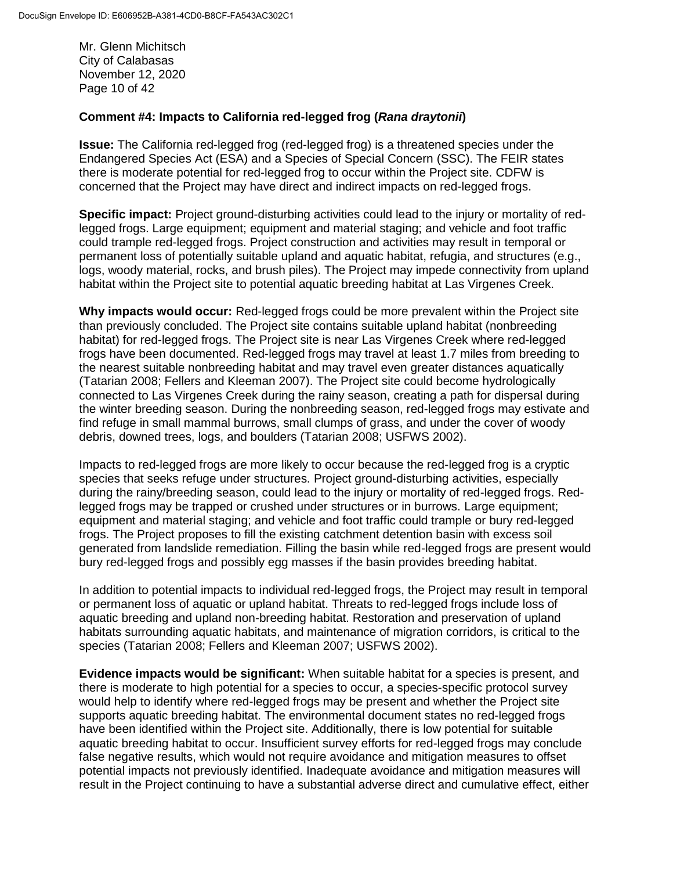Mr. Glenn Michitsch City of Calabasas November 12, 2020 Page 10 of 42

### **Comment #4: Impacts to California red-legged frog (***Rana draytonii***)**

**Issue:** The California red-legged frog (red-legged frog) is a threatened species under the Endangered Species Act (ESA) and a Species of Special Concern (SSC). The FEIR states there is moderate potential for red-legged frog to occur within the Project site. CDFW is concerned that the Project may have direct and indirect impacts on red-legged frogs.

**Specific impact:** Project ground-disturbing activities could lead to the injury or mortality of redlegged frogs. Large equipment; equipment and material staging; and vehicle and foot traffic could trample red-legged frogs. Project construction and activities may result in temporal or permanent loss of potentially suitable upland and aquatic habitat, refugia, and structures (e.g., logs, woody material, rocks, and brush piles). The Project may impede connectivity from upland habitat within the Project site to potential aquatic breeding habitat at Las Virgenes Creek.

**Why impacts would occur:** Red-legged frogs could be more prevalent within the Project site than previously concluded. The Project site contains suitable upland habitat (nonbreeding habitat) for red-legged frogs. The Project site is near Las Virgenes Creek where red-legged frogs have been documented. Red-legged frogs may travel at least 1.7 miles from breeding to the nearest suitable nonbreeding habitat and may travel even greater distances aquatically (Tatarian 2008; Fellers and Kleeman 2007). The Project site could become hydrologically connected to Las Virgenes Creek during the rainy season, creating a path for dispersal during the winter breeding season. During the nonbreeding season, red-legged frogs may estivate and find refuge in small mammal burrows, small clumps of grass, and under the cover of woody debris, downed trees, logs, and boulders (Tatarian 2008; USFWS 2002).

Impacts to red-legged frogs are more likely to occur because the red-legged frog is a cryptic species that seeks refuge under structures. Project ground-disturbing activities, especially during the rainy/breeding season, could lead to the injury or mortality of red-legged frogs. Redlegged frogs may be trapped or crushed under structures or in burrows. Large equipment; equipment and material staging; and vehicle and foot traffic could trample or bury red-legged frogs. The Project proposes to fill the existing catchment detention basin with excess soil generated from landslide remediation. Filling the basin while red-legged frogs are present would bury red-legged frogs and possibly egg masses if the basin provides breeding habitat.

In addition to potential impacts to individual red-legged frogs, the Project may result in temporal or permanent loss of aquatic or upland habitat. Threats to red-legged frogs include loss of aquatic breeding and upland non-breeding habitat. Restoration and preservation of upland habitats surrounding aquatic habitats, and maintenance of migration corridors, is critical to the species (Tatarian 2008; Fellers and Kleeman 2007; USFWS 2002).

**Evidence impacts would be significant:** When suitable habitat for a species is present, and there is moderate to high potential for a species to occur, a species-specific protocol survey would help to identify where red-legged frogs may be present and whether the Project site supports aquatic breeding habitat. The environmental document states no red-legged frogs have been identified within the Project site. Additionally, there is low potential for suitable aquatic breeding habitat to occur. Insufficient survey efforts for red-legged frogs may conclude false negative results, which would not require avoidance and mitigation measures to offset potential impacts not previously identified. Inadequate avoidance and mitigation measures will result in the Project continuing to have a substantial adverse direct and cumulative effect, either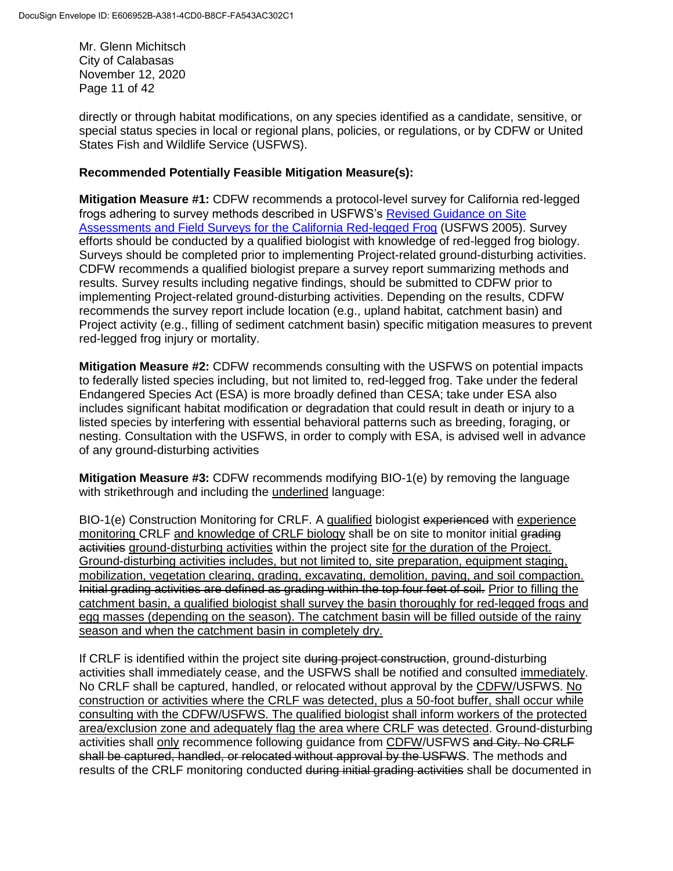Mr. Glenn Michitsch City of Calabasas November 12, 2020 Page 11 of 42

directly or through habitat modifications, on any species identified as a candidate, sensitive, or special status species in local or regional plans, policies, or regulations, or by CDFW or United States Fish and Wildlife Service (USFWS).

## **Recommended Potentially Feasible Mitigation Measure(s):**

**Mitigation Measure #1:** CDFW recommends a protocol-level survey for California red-legged frogs adhering to survey methods described in USFWS's [Revised Guidance on Site](https://www.fws.gov/sacramento/es/Survey-Protocols-Guidelines/Documents/crf_survey_guidance_aug2005.pdf)  [Assessments and Field Surveys for the California Red-legged Frog](https://www.fws.gov/sacramento/es/Survey-Protocols-Guidelines/Documents/crf_survey_guidance_aug2005.pdf) (USFWS 2005). Survey efforts should be conducted by a qualified biologist with knowledge of red-legged frog biology. Surveys should be completed prior to implementing Project-related ground-disturbing activities. CDFW recommends a qualified biologist prepare a survey report summarizing methods and results. Survey results including negative findings, should be submitted to CDFW prior to implementing Project-related ground-disturbing activities. Depending on the results, CDFW recommends the survey report include location (e.g., upland habitat, catchment basin) and Project activity (e.g., filling of sediment catchment basin) specific mitigation measures to prevent red-legged frog injury or mortality.

**Mitigation Measure #2:** CDFW recommends consulting with the USFWS on potential impacts to federally listed species including, but not limited to, red-legged frog. Take under the federal Endangered Species Act (ESA) is more broadly defined than CESA; take under ESA also includes significant habitat modification or degradation that could result in death or injury to a listed species by interfering with essential behavioral patterns such as breeding, foraging, or nesting. Consultation with the USFWS, in order to comply with ESA, is advised well in advance of any ground-disturbing activities

**Mitigation Measure #3:** CDFW recommends modifying BIO-1(e) by removing the language with strikethrough and including the underlined language:

BIO-1(e) Construction Monitoring for CRLF. A qualified biologist experienced with experience monitoring CRLF and knowledge of CRLF biology shall be on site to monitor initial grading activities ground-disturbing activities within the project site for the duration of the Project. Ground-disturbing activities includes, but not limited to, site preparation, equipment staging, mobilization, vegetation clearing, grading, excavating, demolition, paving, and soil compaction. Initial grading activities are defined as grading within the top four feet of soil. Prior to filling the catchment basin, a qualified biologist shall survey the basin thoroughly for red-legged frogs and egg masses (depending on the season). The catchment basin will be filled outside of the rainy season and when the catchment basin in completely dry.

If CRLF is identified within the project site during project construction, ground-disturbing activities shall immediately cease, and the USFWS shall be notified and consulted immediately. No CRLF shall be captured, handled, or relocated without approval by the CDFW/USFWS. No construction or activities where the CRLF was detected, plus a 50-foot buffer, shall occur while consulting with the CDFW/USFWS. The qualified biologist shall inform workers of the protected area/exclusion zone and adequately flag the area where CRLF was detected. Ground-disturbing activities shall only recommence following guidance from CDFW/USFWS and City. No CRLF shall be captured, handled, or relocated without approval by the USFWS. The methods and results of the CRLF monitoring conducted during initial grading activities shall be documented in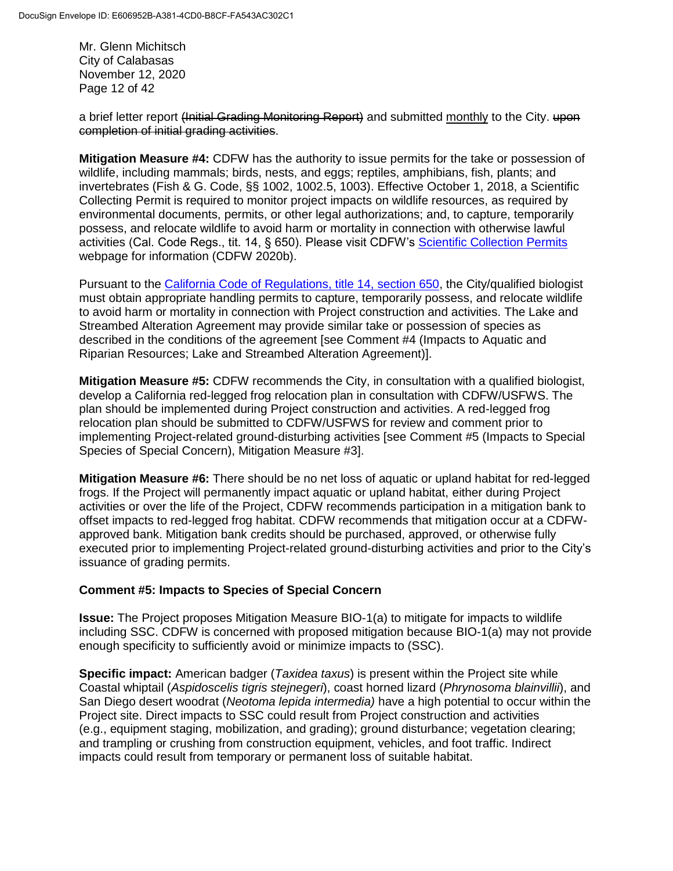Mr. Glenn Michitsch City of Calabasas November 12, 2020 Page 12 of 42

a brief letter report (Initial Grading Monitoring Report) and submitted monthly to the City. upon completion of initial grading activities.

**Mitigation Measure #4:** CDFW has the authority to issue permits for the take or possession of wildlife, including mammals; birds, nests, and eggs; reptiles, amphibians, fish, plants; and invertebrates (Fish & G. Code, §§ 1002, 1002.5, 1003). Effective October 1, 2018, a Scientific Collecting Permit is required to monitor project impacts on wildlife resources, as required by environmental documents, permits, or other legal authorizations; and, to capture, temporarily possess, and relocate wildlife to avoid harm or mortality in connection with otherwise lawful activities (Cal. Code Regs., tit. 14, § 650). Please visit CDFW's [Scientific Collection Permits](https://wildlife.ca.gov/Licensing/Scientific-Collecting#53949678) webpage for information (CDFW 2020b).

Pursuant to the [California Code of Regulations, title 14, section 650,](https://nrm.dfg.ca.gov/FileHandler.ashx?DocumentID=161295&inline) the City/qualified biologist must obtain appropriate handling permits to capture, temporarily possess, and relocate wildlife to avoid harm or mortality in connection with Project construction and activities. The Lake and Streambed Alteration Agreement may provide similar take or possession of species as described in the conditions of the agreement [see Comment #4 (Impacts to Aquatic and Riparian Resources; Lake and Streambed Alteration Agreement)].

**Mitigation Measure #5: CDFW recommends the City, in consultation with a qualified biologist,** develop a California red-legged frog relocation plan in consultation with CDFW/USFWS. The plan should be implemented during Project construction and activities. A red-legged frog relocation plan should be submitted to CDFW/USFWS for review and comment prior to implementing Project-related ground-disturbing activities [see Comment #5 (Impacts to Special Species of Special Concern), Mitigation Measure #3].

**Mitigation Measure #6:** There should be no net loss of aquatic or upland habitat for red-legged frogs. If the Project will permanently impact aquatic or upland habitat, either during Project activities or over the life of the Project, CDFW recommends participation in a mitigation bank to offset impacts to red-legged frog habitat. CDFW recommends that mitigation occur at a CDFWapproved bank. Mitigation bank credits should be purchased, approved, or otherwise fully executed prior to implementing Project-related ground-disturbing activities and prior to the City's issuance of grading permits.

## **Comment #5: Impacts to Species of Special Concern**

**Issue:** The Project proposes Mitigation Measure BIO-1(a) to mitigate for impacts to wildlife including SSC. CDFW is concerned with proposed mitigation because BIO-1(a) may not provide enough specificity to sufficiently avoid or minimize impacts to (SSC).

**Specific impact:** American badger (*Taxidea taxus*) is present within the Project site while Coastal whiptail (*Aspidoscelis tigris stejnegeri*), coast horned lizard (*Phrynosoma blainvillii*), and San Diego desert woodrat (*Neotoma lepida intermedia)* have a high potential to occur within the Project site. Direct impacts to SSC could result from Project construction and activities (e.g., equipment staging, mobilization, and grading); ground disturbance; vegetation clearing; and trampling or crushing from construction equipment, vehicles, and foot traffic. Indirect impacts could result from temporary or permanent loss of suitable habitat.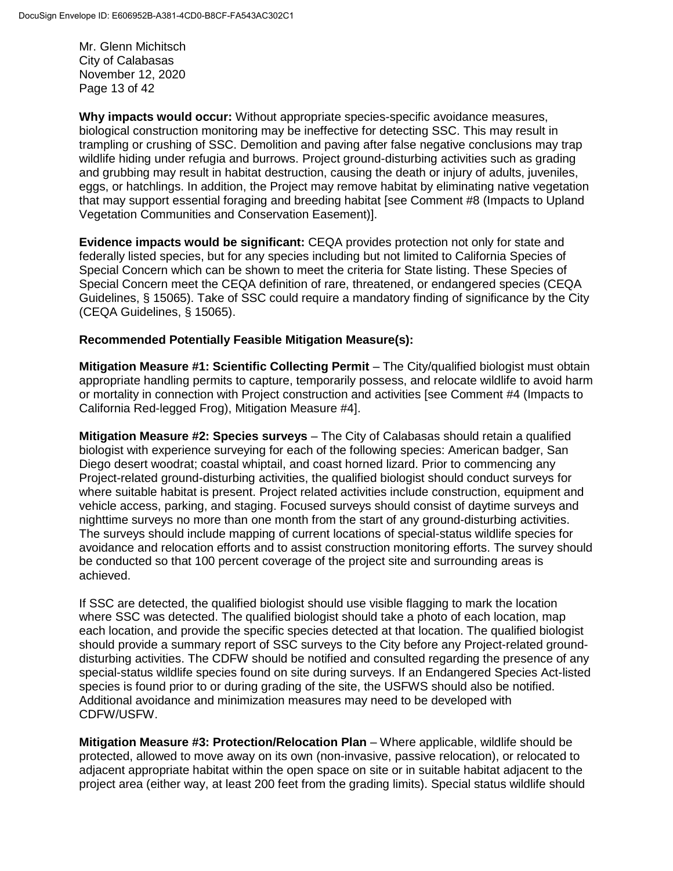Mr. Glenn Michitsch City of Calabasas November 12, 2020 Page 13 of 42

**Why impacts would occur:** Without appropriate species-specific avoidance measures, biological construction monitoring may be ineffective for detecting SSC. This may result in trampling or crushing of SSC. Demolition and paving after false negative conclusions may trap wildlife hiding under refugia and burrows. Project ground-disturbing activities such as grading and grubbing may result in habitat destruction, causing the death or injury of adults, juveniles, eggs, or hatchlings. In addition, the Project may remove habitat by eliminating native vegetation that may support essential foraging and breeding habitat [see Comment #8 (Impacts to Upland Vegetation Communities and Conservation Easement)].

**Evidence impacts would be significant:** CEQA provides protection not only for state and federally listed species, but for any species including but not limited to California Species of Special Concern which can be shown to meet the criteria for State listing. These Species of Special Concern meet the CEQA definition of rare, threatened, or endangered species (CEQA Guidelines, § 15065). Take of SSC could require a mandatory finding of significance by the City (CEQA Guidelines, § 15065).

### **Recommended Potentially Feasible Mitigation Measure(s):**

**Mitigation Measure #1: Scientific Collecting Permit** – The City/qualified biologist must obtain appropriate handling permits to capture, temporarily possess, and relocate wildlife to avoid harm or mortality in connection with Project construction and activities [see Comment #4 (Impacts to California Red-legged Frog), Mitigation Measure #4].

**Mitigation Measure #2: Species surveys** – The City of Calabasas should retain a qualified biologist with experience surveying for each of the following species: American badger, San Diego desert woodrat; coastal whiptail, and coast horned lizard. Prior to commencing any Project-related ground-disturbing activities, the qualified biologist should conduct surveys for where suitable habitat is present. Project related activities include construction, equipment and vehicle access, parking, and staging. Focused surveys should consist of daytime surveys and nighttime surveys no more than one month from the start of any ground-disturbing activities. The surveys should include mapping of current locations of special-status wildlife species for avoidance and relocation efforts and to assist construction monitoring efforts. The survey should be conducted so that 100 percent coverage of the project site and surrounding areas is achieved.

If SSC are detected, the qualified biologist should use visible flagging to mark the location where SSC was detected. The qualified biologist should take a photo of each location, map each location, and provide the specific species detected at that location. The qualified biologist should provide a summary report of SSC surveys to the City before any Project-related grounddisturbing activities. The CDFW should be notified and consulted regarding the presence of any special-status wildlife species found on site during surveys. If an Endangered Species Act-listed species is found prior to or during grading of the site, the USFWS should also be notified. Additional avoidance and minimization measures may need to be developed with CDFW/USFW.

**Mitigation Measure #3: Protection/Relocation Plan** – Where applicable, wildlife should be protected, allowed to move away on its own (non-invasive, passive relocation), or relocated to adjacent appropriate habitat within the open space on site or in suitable habitat adjacent to the project area (either way, at least 200 feet from the grading limits). Special status wildlife should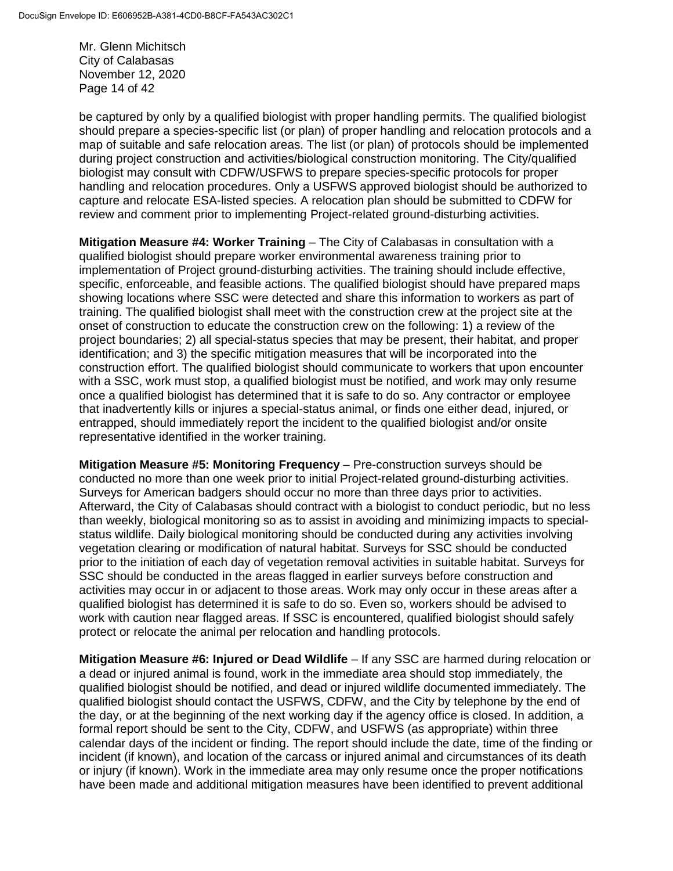Mr. Glenn Michitsch City of Calabasas November 12, 2020 Page 14 of 42

be captured by only by a qualified biologist with proper handling permits. The qualified biologist should prepare a species-specific list (or plan) of proper handling and relocation protocols and a map of suitable and safe relocation areas. The list (or plan) of protocols should be implemented during project construction and activities/biological construction monitoring. The City/qualified biologist may consult with CDFW/USFWS to prepare species-specific protocols for proper handling and relocation procedures. Only a USFWS approved biologist should be authorized to capture and relocate ESA-listed species. A relocation plan should be submitted to CDFW for review and comment prior to implementing Project-related ground-disturbing activities.

**Mitigation Measure #4: Worker Training** – The City of Calabasas in consultation with a qualified biologist should prepare worker environmental awareness training prior to implementation of Project ground-disturbing activities. The training should include effective, specific, enforceable, and feasible actions. The qualified biologist should have prepared maps showing locations where SSC were detected and share this information to workers as part of training. The qualified biologist shall meet with the construction crew at the project site at the onset of construction to educate the construction crew on the following: 1) a review of the project boundaries; 2) all special-status species that may be present, their habitat, and proper identification; and 3) the specific mitigation measures that will be incorporated into the construction effort. The qualified biologist should communicate to workers that upon encounter with a SSC, work must stop, a qualified biologist must be notified, and work may only resume once a qualified biologist has determined that it is safe to do so. Any contractor or employee that inadvertently kills or injures a special-status animal, or finds one either dead, injured, or entrapped, should immediately report the incident to the qualified biologist and/or onsite representative identified in the worker training.

**Mitigation Measure #5: Monitoring Frequency** – Pre-construction surveys should be conducted no more than one week prior to initial Project-related ground-disturbing activities. Surveys for American badgers should occur no more than three days prior to activities. Afterward, the City of Calabasas should contract with a biologist to conduct periodic, but no less than weekly, biological monitoring so as to assist in avoiding and minimizing impacts to specialstatus wildlife. Daily biological monitoring should be conducted during any activities involving vegetation clearing or modification of natural habitat. Surveys for SSC should be conducted prior to the initiation of each day of vegetation removal activities in suitable habitat. Surveys for SSC should be conducted in the areas flagged in earlier surveys before construction and activities may occur in or adjacent to those areas. Work may only occur in these areas after a qualified biologist has determined it is safe to do so. Even so, workers should be advised to work with caution near flagged areas. If SSC is encountered, qualified biologist should safely protect or relocate the animal per relocation and handling protocols.

**Mitigation Measure #6: Injured or Dead Wildlife** – If any SSC are harmed during relocation or a dead or injured animal is found, work in the immediate area should stop immediately, the qualified biologist should be notified, and dead or injured wildlife documented immediately. The qualified biologist should contact the USFWS, CDFW, and the City by telephone by the end of the day, or at the beginning of the next working day if the agency office is closed. In addition, a formal report should be sent to the City, CDFW, and USFWS (as appropriate) within three calendar days of the incident or finding. The report should include the date, time of the finding or incident (if known), and location of the carcass or injured animal and circumstances of its death or injury (if known). Work in the immediate area may only resume once the proper notifications have been made and additional mitigation measures have been identified to prevent additional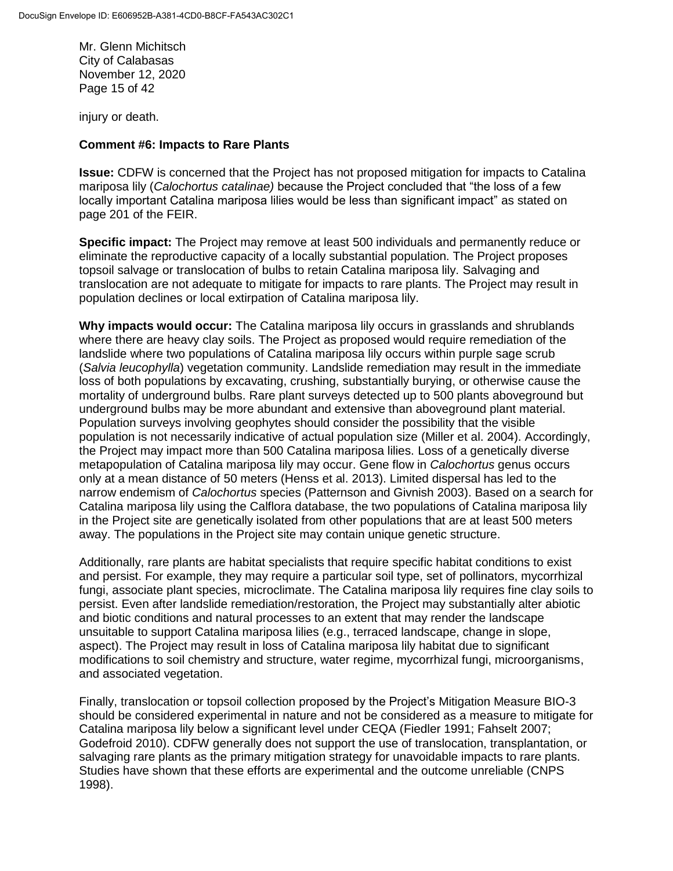Mr. Glenn Michitsch City of Calabasas November 12, 2020 Page 15 of 42

injury or death.

#### **Comment #6: Impacts to Rare Plants**

**Issue:** CDFW is concerned that the Project has not proposed mitigation for impacts to Catalina mariposa lily (*Calochortus catalinae)* because the Project concluded that "the loss of a few locally important Catalina mariposa lilies would be less than significant impact" as stated on page 201 of the FEIR.

**Specific impact:** The Project may remove at least 500 individuals and permanently reduce or eliminate the reproductive capacity of a locally substantial population. The Project proposes topsoil salvage or translocation of bulbs to retain Catalina mariposa lily. Salvaging and translocation are not adequate to mitigate for impacts to rare plants. The Project may result in population declines or local extirpation of Catalina mariposa lily.

**Why impacts would occur:** The Catalina mariposa lily occurs in grasslands and shrublands where there are heavy clay soils. The Project as proposed would require remediation of the landslide where two populations of Catalina mariposa lily occurs within purple sage scrub (*Salvia leucophylla*) vegetation community. Landslide remediation may result in the immediate loss of both populations by excavating, crushing, substantially burying, or otherwise cause the mortality of underground bulbs. Rare plant surveys detected up to 500 plants aboveground but underground bulbs may be more abundant and extensive than aboveground plant material. Population surveys involving geophytes should consider the possibility that the visible population is not necessarily indicative of actual population size (Miller et al. 2004). Accordingly, the Project may impact more than 500 Catalina mariposa lilies. Loss of a genetically diverse metapopulation of Catalina mariposa lily may occur. Gene flow in *Calochortus* genus occurs only at a mean distance of 50 meters (Henss et al. 2013). Limited dispersal has led to the narrow endemism of *Calochortus* species (Patternson and Givnish 2003). Based on a search for Catalina mariposa lily using the Calflora database, the two populations of Catalina mariposa lily in the Project site are genetically isolated from other populations that are at least 500 meters away. The populations in the Project site may contain unique genetic structure.

Additionally, rare plants are habitat specialists that require specific habitat conditions to exist and persist. For example, they may require a particular soil type, set of pollinators, mycorrhizal fungi, associate plant species, microclimate. The Catalina mariposa lily requires fine clay soils to persist. Even after landslide remediation/restoration, the Project may substantially alter abiotic and biotic conditions and natural processes to an extent that may render the landscape unsuitable to support Catalina mariposa lilies (e.g., terraced landscape, change in slope, aspect). The Project may result in loss of Catalina mariposa lily habitat due to significant modifications to soil chemistry and structure, water regime, mycorrhizal fungi, microorganisms, and associated vegetation.

Finally, translocation or topsoil collection proposed by the Project's Mitigation Measure BIO-3 should be considered experimental in nature and not be considered as a measure to mitigate for Catalina mariposa lily below a significant level under CEQA (Fiedler 1991; Fahselt 2007; Godefroid 2010). CDFW generally does not support the use of translocation, transplantation, or salvaging rare plants as the primary mitigation strategy for unavoidable impacts to rare plants. Studies have shown that these efforts are experimental and the outcome unreliable (CNPS 1998).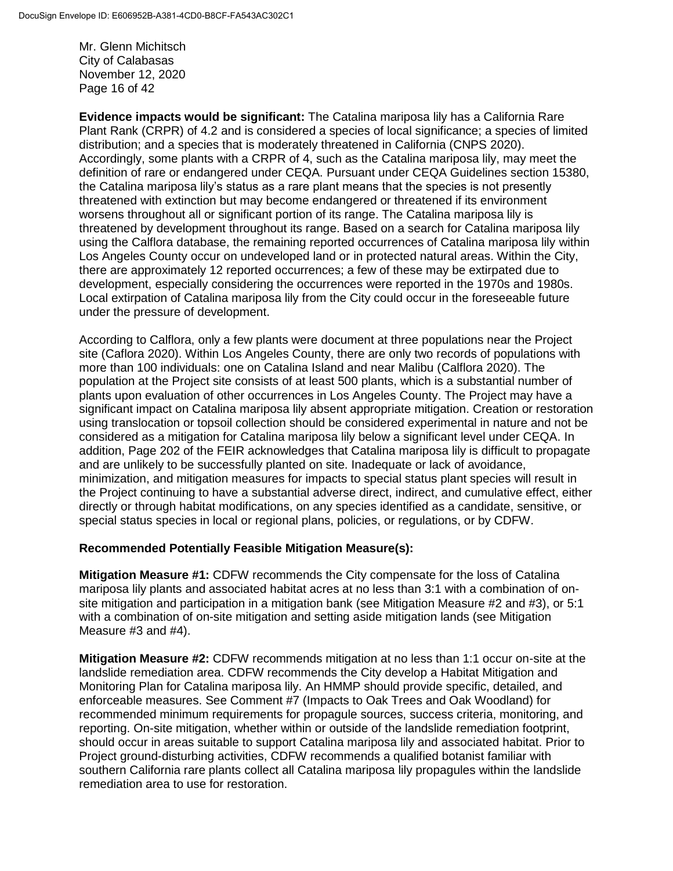Mr. Glenn Michitsch City of Calabasas November 12, 2020 Page 16 of 42

**Evidence impacts would be significant:** The Catalina mariposa lily has a California Rare Plant Rank (CRPR) of 4.2 and is considered a species of local significance; a species of limited distribution; and a species that is moderately threatened in California (CNPS 2020). Accordingly, some plants with a CRPR of 4, such as the Catalina mariposa lily, may meet the definition of rare or endangered under CEQA. Pursuant under CEQA Guidelines section 15380, the Catalina mariposa lily's status as a rare plant means that the species is not presently threatened with extinction but may become endangered or threatened if its environment worsens throughout all or significant portion of its range. The Catalina mariposa lily is threatened by development throughout its range. Based on a search for Catalina mariposa lily using the Calflora database, the remaining reported occurrences of Catalina mariposa lily within Los Angeles County occur on undeveloped land or in protected natural areas. Within the City, there are approximately 12 reported occurrences; a few of these may be extirpated due to development, especially considering the occurrences were reported in the 1970s and 1980s. Local extirpation of Catalina mariposa lily from the City could occur in the foreseeable future under the pressure of development.

According to Calflora, only a few plants were document at three populations near the Project site (Caflora 2020). Within Los Angeles County, there are only two records of populations with more than 100 individuals: one on Catalina Island and near Malibu (Calflora 2020). The population at the Project site consists of at least 500 plants, which is a substantial number of plants upon evaluation of other occurrences in Los Angeles County. The Project may have a significant impact on Catalina mariposa lily absent appropriate mitigation. Creation or restoration using translocation or topsoil collection should be considered experimental in nature and not be considered as a mitigation for Catalina mariposa lily below a significant level under CEQA. In addition, Page 202 of the FEIR acknowledges that Catalina mariposa lily is difficult to propagate and are unlikely to be successfully planted on site. Inadequate or lack of avoidance, minimization, and mitigation measures for impacts to special status plant species will result in the Project continuing to have a substantial adverse direct, indirect, and cumulative effect, either directly or through habitat modifications, on any species identified as a candidate, sensitive, or special status species in local or regional plans, policies, or regulations, or by CDFW.

## **Recommended Potentially Feasible Mitigation Measure(s):**

**Mitigation Measure #1:** CDFW recommends the City compensate for the loss of Catalina mariposa lily plants and associated habitat acres at no less than 3:1 with a combination of onsite mitigation and participation in a mitigation bank (see Mitigation Measure #2 and #3), or 5:1 with a combination of on-site mitigation and setting aside mitigation lands (see Mitigation Measure #3 and #4).

**Mitigation Measure #2:** CDFW recommends mitigation at no less than 1:1 occur on-site at the landslide remediation area. CDFW recommends the City develop a Habitat Mitigation and Monitoring Plan for Catalina mariposa lily. An HMMP should provide specific, detailed, and enforceable measures. See Comment #7 (Impacts to Oak Trees and Oak Woodland) for recommended minimum requirements for propagule sources, success criteria, monitoring, and reporting. On-site mitigation, whether within or outside of the landslide remediation footprint, should occur in areas suitable to support Catalina mariposa lily and associated habitat. Prior to Project ground-disturbing activities, CDFW recommends a qualified botanist familiar with southern California rare plants collect all Catalina mariposa lily propagules within the landslide remediation area to use for restoration.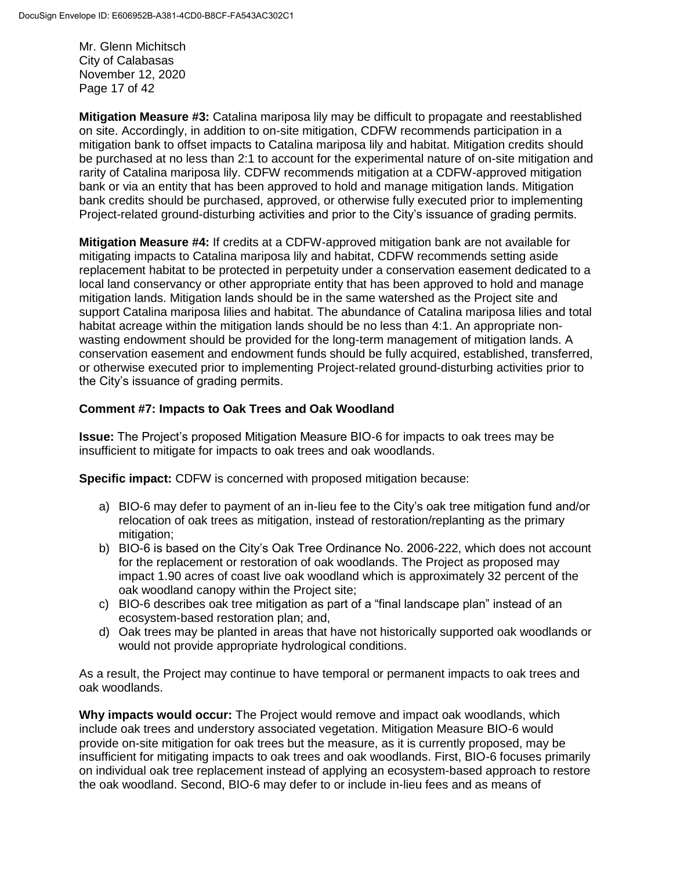Mr. Glenn Michitsch City of Calabasas November 12, 2020 Page 17 of 42

**Mitigation Measure #3:** Catalina mariposa lily may be difficult to propagate and reestablished on site. Accordingly, in addition to on-site mitigation, CDFW recommends participation in a mitigation bank to offset impacts to Catalina mariposa lily and habitat. Mitigation credits should be purchased at no less than 2:1 to account for the experimental nature of on-site mitigation and rarity of Catalina mariposa lily. CDFW recommends mitigation at a CDFW-approved mitigation bank or via an entity that has been approved to hold and manage mitigation lands. Mitigation bank credits should be purchased, approved, or otherwise fully executed prior to implementing Project-related ground-disturbing activities and prior to the City's issuance of grading permits.

**Mitigation Measure #4:** If credits at a CDFW-approved mitigation bank are not available for mitigating impacts to Catalina mariposa lily and habitat, CDFW recommends setting aside replacement habitat to be protected in perpetuity under a conservation easement dedicated to a local land conservancy or other appropriate entity that has been approved to hold and manage mitigation lands. Mitigation lands should be in the same watershed as the Project site and support Catalina mariposa lilies and habitat. The abundance of Catalina mariposa lilies and total habitat acreage within the mitigation lands should be no less than 4:1. An appropriate nonwasting endowment should be provided for the long-term management of mitigation lands. A conservation easement and endowment funds should be fully acquired, established, transferred, or otherwise executed prior to implementing Project-related ground-disturbing activities prior to the City's issuance of grading permits.

## **Comment #7: Impacts to Oak Trees and Oak Woodland**

**Issue:** The Project's proposed Mitigation Measure BIO-6 for impacts to oak trees may be insufficient to mitigate for impacts to oak trees and oak woodlands.

**Specific impact:** CDFW is concerned with proposed mitigation because:

- a) BIO-6 may defer to payment of an in-lieu fee to the City's oak tree mitigation fund and/or relocation of oak trees as mitigation, instead of restoration/replanting as the primary mitigation:
- b) BIO-6 is based on the City's Oak Tree Ordinance No. 2006-222, which does not account for the replacement or restoration of oak woodlands. The Project as proposed may impact 1.90 acres of coast live oak woodland which is approximately 32 percent of the oak woodland canopy within the Project site;
- c) BIO-6 describes oak tree mitigation as part of a "final landscape plan" instead of an ecosystem-based restoration plan; and,
- d) Oak trees may be planted in areas that have not historically supported oak woodlands or would not provide appropriate hydrological conditions.

As a result, the Project may continue to have temporal or permanent impacts to oak trees and oak woodlands.

**Why impacts would occur:** The Project would remove and impact oak woodlands, which include oak trees and understory associated vegetation. Mitigation Measure BIO-6 would provide on-site mitigation for oak trees but the measure, as it is currently proposed, may be insufficient for mitigating impacts to oak trees and oak woodlands. First, BIO-6 focuses primarily on individual oak tree replacement instead of applying an ecosystem-based approach to restore the oak woodland. Second, BIO-6 may defer to or include in-lieu fees and as means of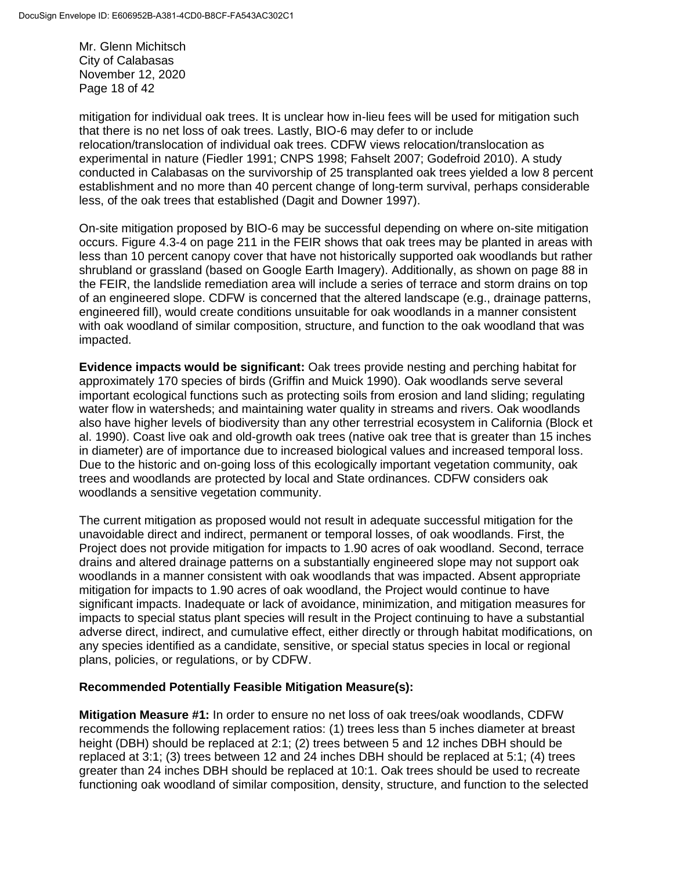Mr. Glenn Michitsch City of Calabasas November 12, 2020 Page 18 of 42

mitigation for individual oak trees. It is unclear how in-lieu fees will be used for mitigation such that there is no net loss of oak trees. Lastly, BIO-6 may defer to or include relocation/translocation of individual oak trees. CDFW views relocation/translocation as experimental in nature (Fiedler 1991; CNPS 1998; Fahselt 2007; Godefroid 2010). A study conducted in Calabasas on the survivorship of 25 transplanted oak trees yielded a low 8 percent establishment and no more than 40 percent change of long-term survival, perhaps considerable less, of the oak trees that established (Dagit and Downer 1997).

On-site mitigation proposed by BIO-6 may be successful depending on where on-site mitigation occurs. Figure 4.3-4 on page 211 in the FEIR shows that oak trees may be planted in areas with less than 10 percent canopy cover that have not historically supported oak woodlands but rather shrubland or grassland (based on Google Earth Imagery). Additionally, as shown on page 88 in the FEIR, the landslide remediation area will include a series of terrace and storm drains on top of an engineered slope. CDFW is concerned that the altered landscape (e.g., drainage patterns, engineered fill), would create conditions unsuitable for oak woodlands in a manner consistent with oak woodland of similar composition, structure, and function to the oak woodland that was impacted.

**Evidence impacts would be significant:** Oak trees provide nesting and perching habitat for approximately 170 species of birds (Griffin and Muick 1990). Oak woodlands serve several important ecological functions such as protecting soils from erosion and land sliding; regulating water flow in watersheds; and maintaining water quality in streams and rivers. Oak woodlands also have higher levels of biodiversity than any other terrestrial ecosystem in California (Block et al. 1990). Coast live oak and old-growth oak trees (native oak tree that is greater than 15 inches in diameter) are of importance due to increased biological values and increased temporal loss. Due to the historic and on-going loss of this ecologically important vegetation community, oak trees and woodlands are protected by local and State ordinances. CDFW considers oak woodlands a sensitive vegetation community.

The current mitigation as proposed would not result in adequate successful mitigation for the unavoidable direct and indirect, permanent or temporal losses, of oak woodlands. First, the Project does not provide mitigation for impacts to 1.90 acres of oak woodland. Second, terrace drains and altered drainage patterns on a substantially engineered slope may not support oak woodlands in a manner consistent with oak woodlands that was impacted. Absent appropriate mitigation for impacts to 1.90 acres of oak woodland, the Project would continue to have significant impacts. Inadequate or lack of avoidance, minimization, and mitigation measures for impacts to special status plant species will result in the Project continuing to have a substantial adverse direct, indirect, and cumulative effect, either directly or through habitat modifications, on any species identified as a candidate, sensitive, or special status species in local or regional plans, policies, or regulations, or by CDFW.

## **Recommended Potentially Feasible Mitigation Measure(s):**

**Mitigation Measure #1:** In order to ensure no net loss of oak trees/oak woodlands, CDFW recommends the following replacement ratios: (1) trees less than 5 inches diameter at breast height (DBH) should be replaced at 2:1; (2) trees between 5 and 12 inches DBH should be replaced at 3:1; (3) trees between 12 and 24 inches DBH should be replaced at 5:1; (4) trees greater than 24 inches DBH should be replaced at 10:1. Oak trees should be used to recreate functioning oak woodland of similar composition, density, structure, and function to the selected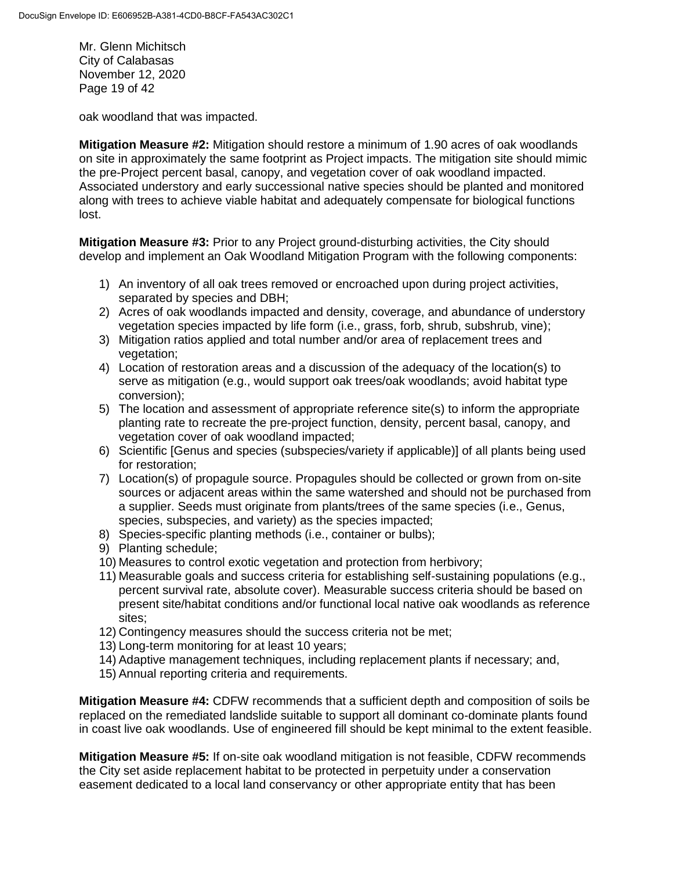Mr. Glenn Michitsch City of Calabasas November 12, 2020 Page 19 of 42

oak woodland that was impacted.

**Mitigation Measure #2:** Mitigation should restore a minimum of 1.90 acres of oak woodlands on site in approximately the same footprint as Project impacts. The mitigation site should mimic the pre-Project percent basal, canopy, and vegetation cover of oak woodland impacted. Associated understory and early successional native species should be planted and monitored along with trees to achieve viable habitat and adequately compensate for biological functions lost.

**Mitigation Measure #3:** Prior to any Project ground-disturbing activities, the City should develop and implement an Oak Woodland Mitigation Program with the following components:

- 1) An inventory of all oak trees removed or encroached upon during project activities, separated by species and DBH;
- 2) Acres of oak woodlands impacted and density, coverage, and abundance of understory vegetation species impacted by life form (i.e., grass, forb, shrub, subshrub, vine);
- 3) Mitigation ratios applied and total number and/or area of replacement trees and vegetation;
- 4) Location of restoration areas and a discussion of the adequacy of the location(s) to serve as mitigation (e.g., would support oak trees/oak woodlands; avoid habitat type conversion);
- 5) The location and assessment of appropriate reference site(s) to inform the appropriate planting rate to recreate the pre-project function, density, percent basal, canopy, and vegetation cover of oak woodland impacted;
- 6) Scientific [Genus and species (subspecies/variety if applicable)] of all plants being used for restoration;
- 7) Location(s) of propagule source. Propagules should be collected or grown from on-site sources or adjacent areas within the same watershed and should not be purchased from a supplier. Seeds must originate from plants/trees of the same species (i.e., Genus, species, subspecies, and variety) as the species impacted;
- 8) Species-specific planting methods (i.e., container or bulbs);
- 9) Planting schedule;
- 10) Measures to control exotic vegetation and protection from herbivory;
- 11) Measurable goals and success criteria for establishing self-sustaining populations (e.g., percent survival rate, absolute cover). Measurable success criteria should be based on present site/habitat conditions and/or functional local native oak woodlands as reference sites;
- 12) Contingency measures should the success criteria not be met;
- 13) Long-term monitoring for at least 10 years;
- 14) Adaptive management techniques, including replacement plants if necessary; and,
- 15) Annual reporting criteria and requirements.

**Mitigation Measure #4:** CDFW recommends that a sufficient depth and composition of soils be replaced on the remediated landslide suitable to support all dominant co-dominate plants found in coast live oak woodlands. Use of engineered fill should be kept minimal to the extent feasible.

**Mitigation Measure #5:** If on-site oak woodland mitigation is not feasible, CDFW recommends the City set aside replacement habitat to be protected in perpetuity under a conservation easement dedicated to a local land conservancy or other appropriate entity that has been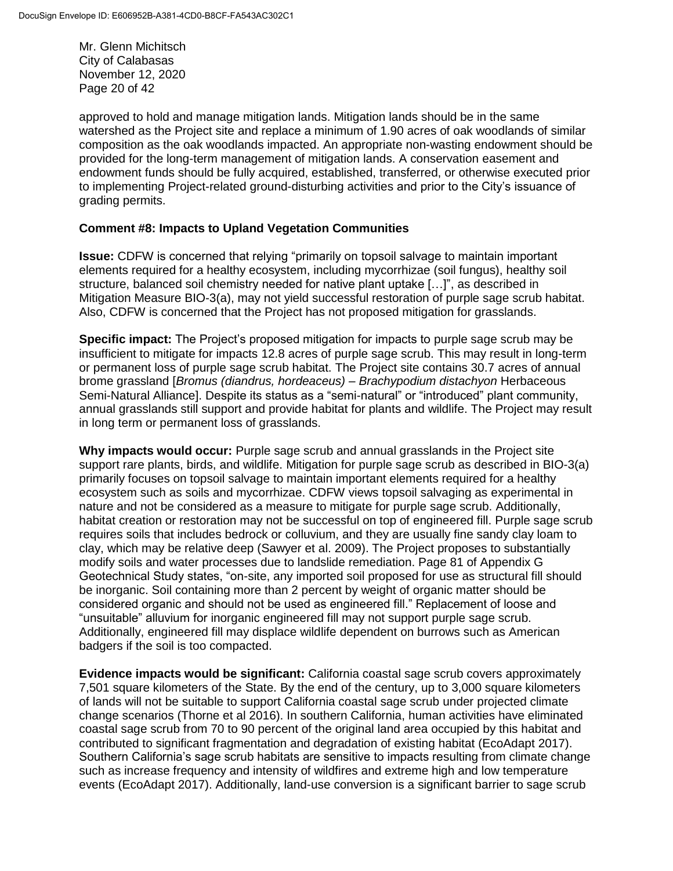Mr. Glenn Michitsch City of Calabasas November 12, 2020 Page 20 of 42

approved to hold and manage mitigation lands. Mitigation lands should be in the same watershed as the Project site and replace a minimum of 1.90 acres of oak woodlands of similar composition as the oak woodlands impacted. An appropriate non-wasting endowment should be provided for the long-term management of mitigation lands. A conservation easement and endowment funds should be fully acquired, established, transferred, or otherwise executed prior to implementing Project-related ground-disturbing activities and prior to the City's issuance of grading permits.

### **Comment #8: Impacts to Upland Vegetation Communities**

**Issue:** CDFW is concerned that relying "primarily on topsoil salvage to maintain important elements required for a healthy ecosystem, including mycorrhizae (soil fungus), healthy soil structure, balanced soil chemistry needed for native plant uptake […]", as described in Mitigation Measure BIO-3(a), may not yield successful restoration of purple sage scrub habitat. Also, CDFW is concerned that the Project has not proposed mitigation for grasslands.

**Specific impact:** The Project's proposed mitigation for impacts to purple sage scrub may be insufficient to mitigate for impacts 12.8 acres of purple sage scrub. This may result in long-term or permanent loss of purple sage scrub habitat. The Project site contains 30.7 acres of annual brome grassland [*Bromus (diandrus, hordeaceus) – Brachypodium distachyon* Herbaceous Semi-Natural Alliance]. Despite its status as a "semi-natural" or "introduced" plant community, annual grasslands still support and provide habitat for plants and wildlife. The Project may result in long term or permanent loss of grasslands.

**Why impacts would occur:** Purple sage scrub and annual grasslands in the Project site support rare plants, birds, and wildlife. Mitigation for purple sage scrub as described in BIO-3(a) primarily focuses on topsoil salvage to maintain important elements required for a healthy ecosystem such as soils and mycorrhizae. CDFW views topsoil salvaging as experimental in nature and not be considered as a measure to mitigate for purple sage scrub. Additionally, habitat creation or restoration may not be successful on top of engineered fill. Purple sage scrub requires soils that includes bedrock or colluvium, and they are usually fine sandy clay loam to clay, which may be relative deep (Sawyer et al. 2009). The Project proposes to substantially modify soils and water processes due to landslide remediation. Page 81 of Appendix G Geotechnical Study states, "on-site, any imported soil proposed for use as structural fill should be inorganic. Soil containing more than 2 percent by weight of organic matter should be considered organic and should not be used as engineered fill." Replacement of loose and "unsuitable" alluvium for inorganic engineered fill may not support purple sage scrub. Additionally, engineered fill may displace wildlife dependent on burrows such as American badgers if the soil is too compacted.

**Evidence impacts would be significant:** California coastal sage scrub covers approximately 7,501 square kilometers of the State. By the end of the century, up to 3,000 square kilometers of lands will not be suitable to support California coastal sage scrub under projected climate change scenarios (Thorne et al 2016). In southern California, human activities have eliminated coastal sage scrub from 70 to 90 percent of the original land area occupied by this habitat and contributed to significant fragmentation and degradation of existing habitat (EcoAdapt 2017). Southern California's sage scrub habitats are sensitive to impacts resulting from climate change such as increase frequency and intensity of wildfires and extreme high and low temperature events (EcoAdapt 2017). Additionally, land-use conversion is a significant barrier to sage scrub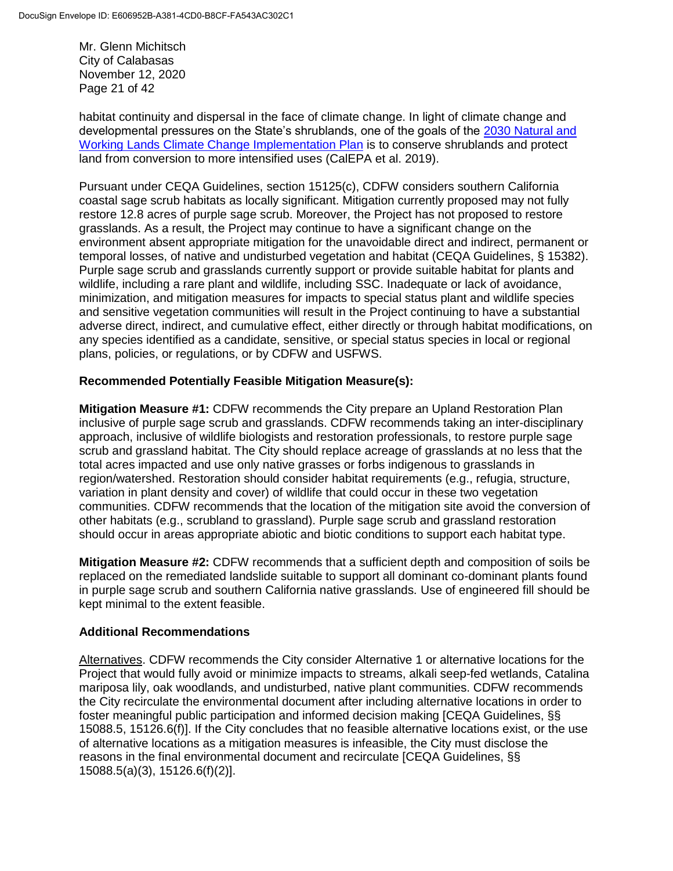Mr. Glenn Michitsch City of Calabasas November 12, 2020 Page 21 of 42

habitat continuity and dispersal in the face of climate change. In light of climate change and developmental pressures on the State's shrublands, one of the goals of the [2030 Natural and](https://ww3.arb.ca.gov/cc/natandworkinglands/draft-nwl-ip-040419.pdf)  [Working Lands Climate Change Implementation Plan](https://ww3.arb.ca.gov/cc/natandworkinglands/draft-nwl-ip-040419.pdf) is to conserve shrublands and protect land from conversion to more intensified uses (CalEPA et al. 2019).

Pursuant under CEQA Guidelines, section 15125(c), CDFW considers southern California coastal sage scrub habitats as locally significant. Mitigation currently proposed may not fully restore 12.8 acres of purple sage scrub. Moreover, the Project has not proposed to restore grasslands. As a result, the Project may continue to have a significant change on the environment absent appropriate mitigation for the unavoidable direct and indirect, permanent or temporal losses, of native and undisturbed vegetation and habitat (CEQA Guidelines, § 15382). Purple sage scrub and grasslands currently support or provide suitable habitat for plants and wildlife, including a rare plant and wildlife, including SSC. Inadequate or lack of avoidance, minimization, and mitigation measures for impacts to special status plant and wildlife species and sensitive vegetation communities will result in the Project continuing to have a substantial adverse direct, indirect, and cumulative effect, either directly or through habitat modifications, on any species identified as a candidate, sensitive, or special status species in local or regional plans, policies, or regulations, or by CDFW and USFWS.

# **Recommended Potentially Feasible Mitigation Measure(s):**

**Mitigation Measure #1:** CDFW recommends the City prepare an Upland Restoration Plan inclusive of purple sage scrub and grasslands. CDFW recommends taking an inter-disciplinary approach, inclusive of wildlife biologists and restoration professionals, to restore purple sage scrub and grassland habitat. The City should replace acreage of grasslands at no less that the total acres impacted and use only native grasses or forbs indigenous to grasslands in region/watershed. Restoration should consider habitat requirements (e.g., refugia, structure, variation in plant density and cover) of wildlife that could occur in these two vegetation communities. CDFW recommends that the location of the mitigation site avoid the conversion of other habitats (e.g., scrubland to grassland). Purple sage scrub and grassland restoration should occur in areas appropriate abiotic and biotic conditions to support each habitat type.

**Mitigation Measure #2:** CDFW recommends that a sufficient depth and composition of soils be replaced on the remediated landslide suitable to support all dominant co-dominant plants found in purple sage scrub and southern California native grasslands. Use of engineered fill should be kept minimal to the extent feasible.

## **Additional Recommendations**

Alternatives. CDFW recommends the City consider Alternative 1 or alternative locations for the Project that would fully avoid or minimize impacts to streams, alkali seep-fed wetlands, Catalina mariposa lily, oak woodlands, and undisturbed, native plant communities. CDFW recommends the City recirculate the environmental document after including alternative locations in order to foster meaningful public participation and informed decision making [CEQA Guidelines, §§ 15088.5, 15126.6(f)]. If the City concludes that no feasible alternative locations exist, or the use of alternative locations as a mitigation measures is infeasible, the City must disclose the reasons in the final environmental document and recirculate [CEQA Guidelines, §§ 15088.5(a)(3), 15126.6(f)(2)].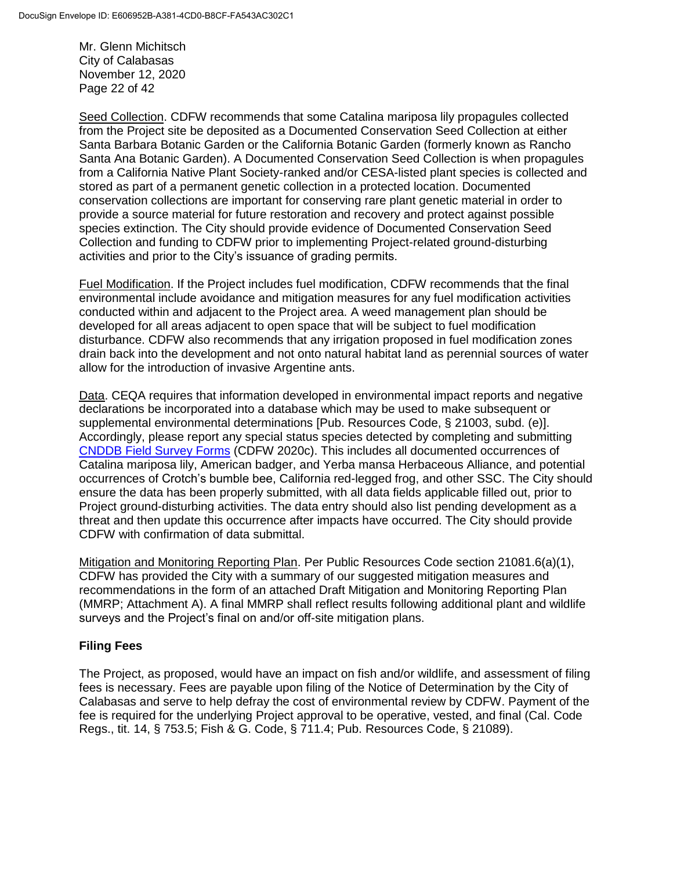Mr. Glenn Michitsch City of Calabasas November 12, 2020 Page 22 of 42

Seed Collection. CDFW recommends that some Catalina mariposa lily propagules collected from the Project site be deposited as a Documented Conservation Seed Collection at either Santa Barbara Botanic Garden or the California Botanic Garden (formerly known as Rancho Santa Ana Botanic Garden). A Documented Conservation Seed Collection is when propagules from a California Native Plant Society-ranked and/or CESA-listed plant species is collected and stored as part of a permanent genetic collection in a protected location. Documented conservation collections are important for conserving rare plant genetic material in order to provide a source material for future restoration and recovery and protect against possible species extinction. The City should provide evidence of Documented Conservation Seed Collection and funding to CDFW prior to implementing Project-related ground-disturbing activities and prior to the City's issuance of grading permits.

Fuel Modification. If the Project includes fuel modification, CDFW recommends that the final environmental include avoidance and mitigation measures for any fuel modification activities conducted within and adjacent to the Project area. A weed management plan should be developed for all areas adjacent to open space that will be subject to fuel modification disturbance. CDFW also recommends that any irrigation proposed in fuel modification zones drain back into the development and not onto natural habitat land as perennial sources of water allow for the introduction of invasive Argentine ants.

Data. CEQA requires that information developed in environmental impact reports and negative declarations be incorporated into a database which may be used to make subsequent or supplemental environmental determinations [Pub. Resources Code, § 21003, subd. (e)]. Accordingly, please report any special status species detected by completing and submitting [CNDDB Field Survey Forms](https://wildlife.ca.gov/Data/CNDDB/Submitting-Data) (CDFW 2020c). This includes all documented occurrences of Catalina mariposa lily, American badger, and Yerba mansa Herbaceous Alliance, and potential occurrences of Crotch's bumble bee, California red-legged frog, and other SSC. The City should ensure the data has been properly submitted, with all data fields applicable filled out, prior to Project ground-disturbing activities. The data entry should also list pending development as a threat and then update this occurrence after impacts have occurred. The City should provide CDFW with confirmation of data submittal.

Mitigation and Monitoring Reporting Plan. Per Public Resources Code section 21081.6(a)(1), CDFW has provided the City with a summary of our suggested mitigation measures and recommendations in the form of an attached Draft Mitigation and Monitoring Reporting Plan (MMRP; Attachment A). A final MMRP shall reflect results following additional plant and wildlife surveys and the Project's final on and/or off-site mitigation plans.

## **Filing Fees**

The Project, as proposed, would have an impact on fish and/or wildlife, and assessment of filing fees is necessary. Fees are payable upon filing of the Notice of Determination by the City of Calabasas and serve to help defray the cost of environmental review by CDFW. Payment of the fee is required for the underlying Project approval to be operative, vested, and final (Cal. Code Regs., tit. 14, § 753.5; Fish & G. Code, § 711.4; Pub. Resources Code, § 21089).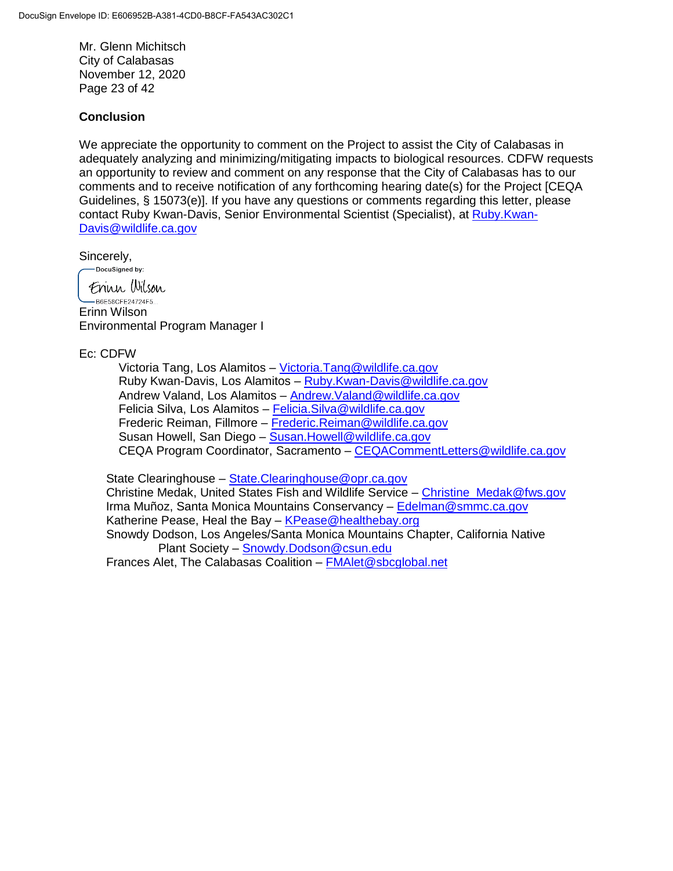Mr. Glenn Michitsch City of Calabasas November 12, 2020 Page 23 of 42

### **Conclusion**

We appreciate the opportunity to comment on the Project to assist the City of Calabasas in adequately analyzing and minimizing/mitigating impacts to biological resources. CDFW requests an opportunity to review and comment on any response that the City of Calabasas has to our comments and to receive notification of any forthcoming hearing date(s) for the Project [CEQA Guidelines, § 15073(e)]. If you have any questions or comments regarding this letter, please contact Ruby Kwan-Davis, Senior Environmental Scientist (Specialist), at [Ruby.Kwan-](mailto:Ruby.Kwan-Davis@wildlife.ca.gov)[Davis@wildlife.ca.gov](mailto:Ruby.Kwan-Davis@wildlife.ca.gov)

Sincerely,<br>
<u>Coocusigned</u> by:

Frinn Wilson  $-B6F58CFF24724F5$ Erinn Wilson Environmental Program Manager I

### Ec: CDFW

Victoria Tang, Los Alamitos – [Victoria.Tang@wildlife.ca.gov](mailto:Victoria.Tang@wildlife.ca.gov) Ruby Kwan-Davis, Los Alamitos – [Ruby.Kwan-Davis@wildlife.ca.gov](mailto:Ruby.Kwan-Davis@wildlife.ca.gov) Andrew Valand, Los Alamitos – [Andrew.Valand@wildlife.ca.gov](mailto:Andrew.Valand@wildlife.ca.gov) Felicia Silva, Los Alamitos – [Felicia.Silva@wildlife.ca.gov](mailto:Felicia.Silva@wildlife.ca.gov) Frederic Reiman, Fillmore – [Frederic.Reiman@wildlife.ca.gov](mailto:Frederic.Reiman@wildlife.ca.gov) Susan Howell, San Diego – [Susan.Howell@wildlife.ca.gov](mailto:Susan.Howell@wildlife.ca.gov) CEQA Program Coordinator, Sacramento – [CEQACommentLetters@wildlife.ca.gov](mailto:CEQACommentLetters@wildlife.ca.gov) 

 State Clearinghouse – [State.Clearinghouse@opr.ca.gov](mailto:State.Clearinghouse@opr.ca.gov) Christine Medak, United States Fish and Wildlife Service – [Christine\\_Medak@fws.gov](mailto:Christine_Medak@fws.gov) Irma Muñoz, Santa Monica Mountains Conservancy – [Edelman@smmc.ca.gov](mailto:Edelman@smmc.ca.gov) Katherine Pease, Heal the Bay - [KPease@healthebay.org](mailto:KPease@healthebay.org) Snowdy Dodson, Los Angeles/Santa Monica Mountains Chapter, California Native Plant Society – [Snowdy.Dodson@csun.edu](mailto:Snowdy.Dodson@csun.edu)

Frances Alet, The Calabasas Coalition – [FMAlet@sbcglobal.net](mailto:FMAlet@sbcglobal.net)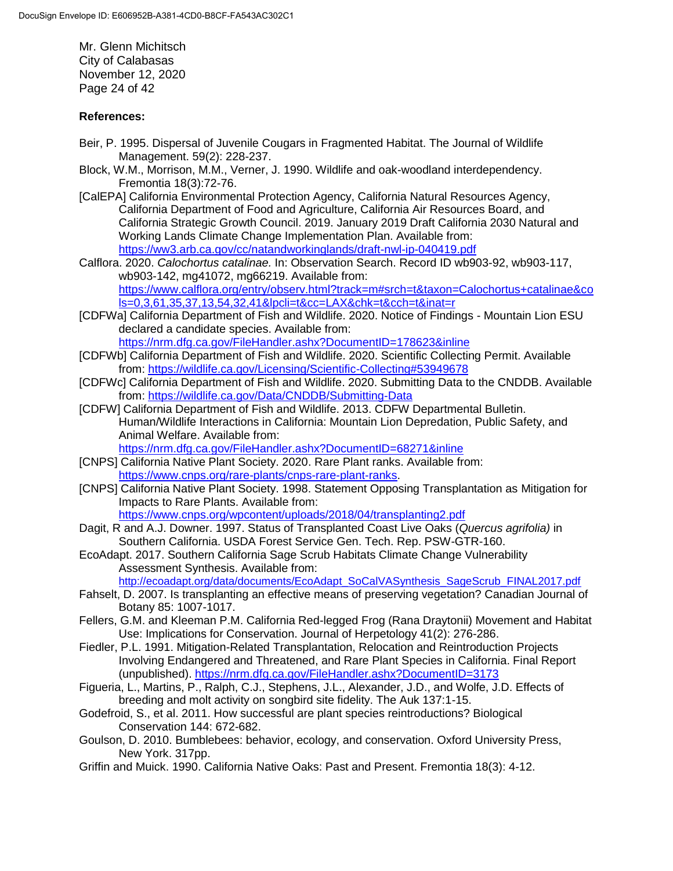Mr. Glenn Michitsch City of Calabasas November 12, 2020 Page 24 of 42

#### **References:**

- Beir, P. 1995. Dispersal of Juvenile Cougars in Fragmented Habitat. The Journal of Wildlife Management. 59(2): 228-237.
- Block, W.M., Morrison, M.M., Verner, J. 1990. Wildlife and oak-woodland interdependency. Fremontia 18(3):72-76.
- [CalEPA] California Environmental Protection Agency, California Natural Resources Agency, California Department of Food and Agriculture, California Air Resources Board, and California Strategic Growth Council. 2019. January 2019 Draft California 2030 Natural and Working Lands Climate Change Implementation Plan. Available from: <https://ww3.arb.ca.gov/cc/natandworkinglands/draft-nwl-ip-040419.pdf>
- Calflora. 2020. *Calochortus catalinae.* In: Observation Search. Record ID wb903-92, wb903-117, wb903-142, mg41072, mg66219. Available from: [https://www.calflora.org/entry/observ.html?track=m#srch=t&taxon=Calochortus+catalinae&co](https://www.calflora.org/entry/observ.html?track=m#srch=t&taxon=Calochortus+catalinae&cols=0,3,61,35,37,13,54,32,41&lpcli=t&cc=LAX&chk=t&cch=t&inat=r) [ls=0,3,61,35,37,13,54,32,41&lpcli=t&cc=LAX&chk=t&cch=t&inat=r](https://www.calflora.org/entry/observ.html?track=m#srch=t&taxon=Calochortus+catalinae&cols=0,3,61,35,37,13,54,32,41&lpcli=t&cc=LAX&chk=t&cch=t&inat=r)
- [CDFWa] California Department of Fish and Wildlife. 2020. Notice of Findings Mountain Lion ESU declared a candidate species. Available from: <https://nrm.dfg.ca.gov/FileHandler.ashx?DocumentID=178623&inline>
- [CDFWb] California Department of Fish and Wildlife. 2020. Scientific Collecting Permit. Available from:<https://wildlife.ca.gov/Licensing/Scientific-Collecting#53949678>
- [CDFWc] California Department of Fish and Wildlife. 2020. Submitting Data to the CNDDB. Available from:<https://wildlife.ca.gov/Data/CNDDB/Submitting-Data>
- [CDFW] California Department of Fish and Wildlife. 2013. CDFW Departmental Bulletin. Human/Wildlife Interactions in California: Mountain Lion Depredation, Public Safety, and Animal Welfare. Available from:

<https://nrm.dfg.ca.gov/FileHandler.ashx?DocumentID=68271&inline>

- [CNPS] California Native Plant Society. 2020. Rare Plant ranks. Available from: [https://www.cnps.org/rare-plants/cnps-rare-plant-ranks.](https://www.cnps.org/rare-plants/cnps-rare-plant-ranks)
- [CNPS] California Native Plant Society. 1998. Statement Opposing Transplantation as Mitigation for Impacts to Rare Plants. Available from: <https://www.cnps.org/wpcontent/uploads/2018/04/transplanting2.pdf>
- Dagit, R and A.J. Downer. 1997. Status of Transplanted Coast Live Oaks (*Quercus agrifolia)* in Southern California. USDA Forest Service Gen. Tech. Rep. PSW-GTR-160.
- EcoAdapt. 2017. Southern California Sage Scrub Habitats Climate Change Vulnerability Assessment Synthesis. Available from:

[http://ecoadapt.org/data/documents/EcoAdapt\\_SoCalVASynthesis\\_SageScrub\\_FINAL2017.pdf](http://ecoadapt.org/data/documents/EcoAdapt_SoCalVASynthesis_SageScrub_FINAL2017.pdf)

- Fahselt, D. 2007. Is transplanting an effective means of preserving vegetation? Canadian Journal of Botany 85: 1007-1017.
- Fellers, G.M. and Kleeman P.M. California Red-legged Frog (Rana Draytonii) Movement and Habitat Use: Implications for Conservation. Journal of Herpetology 41(2): 276-286.
- Fiedler, P.L. 1991. Mitigation-Related Transplantation, Relocation and Reintroduction Projects Involving Endangered and Threatened, and Rare Plant Species in California. Final Report (unpublished).<https://nrm.dfg.ca.gov/FileHandler.ashx?DocumentID=3173>
- Figueria, L., Martins, P., Ralph, C.J., Stephens, J.L., Alexander, J.D., and Wolfe, J.D. Effects of breeding and molt activity on songbird site fidelity. The Auk 137:1-15.
- Godefroid, S., et al. 2011. How successful are plant species reintroductions? Biological Conservation 144: 672-682.
- Goulson, D. 2010. Bumblebees: behavior, ecology, and conservation. Oxford University Press, New York. 317pp.
- Griffin and Muick. 1990. California Native Oaks: Past and Present. Fremontia 18(3): 4-12.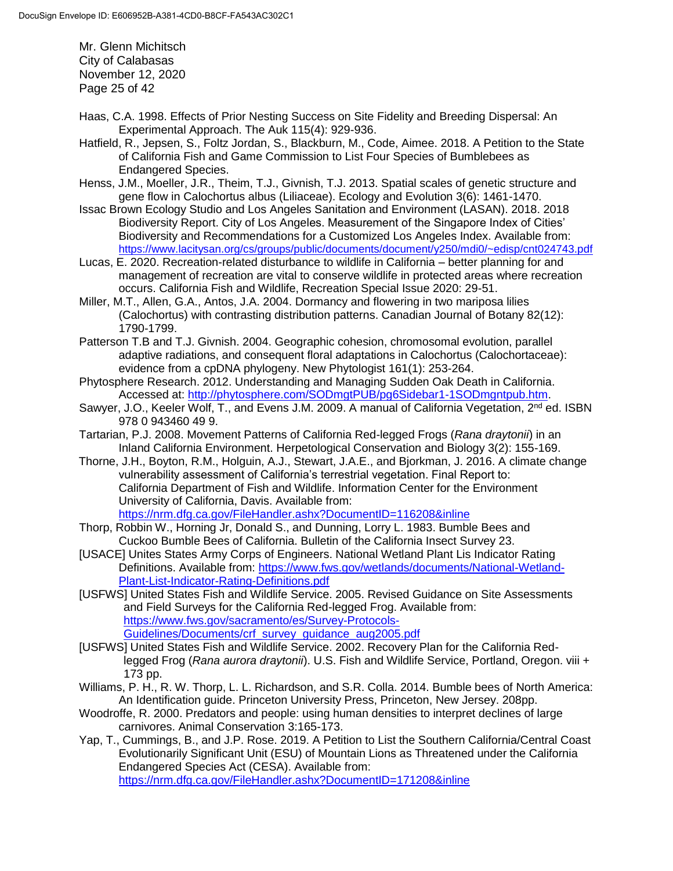Mr. Glenn Michitsch City of Calabasas November 12, 2020 Page 25 of 42

- Haas, C.A. 1998. Effects of Prior Nesting Success on Site Fidelity and Breeding Dispersal: An Experimental Approach. The Auk 115(4): 929-936.
- Hatfield, R., Jepsen, S., Foltz Jordan, S., Blackburn, M., Code, Aimee. 2018. A Petition to the State of California Fish and Game Commission to List Four Species of Bumblebees as Endangered Species.
- Henss, J.M., Moeller, J.R., Theim, T.J., Givnish, T.J. 2013. Spatial scales of genetic structure and gene flow in Calochortus albus (Liliaceae). Ecology and Evolution 3(6): 1461-1470.
- Issac Brown Ecology Studio and Los Angeles Sanitation and Environment (LASAN). 2018. 2018 Biodiversity Report. City of Los Angeles. Measurement of the Singapore Index of Cities' Biodiversity and Recommendations for a Customized Los Angeles Index. Available from: <https://www.lacitysan.org/cs/groups/public/documents/document/y250/mdi0/~edisp/cnt024743.pdf>
- Lucas, E. 2020. Recreation-related disturbance to wildlife in California better planning for and management of recreation are vital to conserve wildlife in protected areas where recreation occurs. California Fish and Wildlife, Recreation Special Issue 2020: 29-51.
- Miller, M.T., Allen, G.A., Antos, J.A. 2004. Dormancy and flowering in two mariposa lilies (Calochortus) with contrasting distribution patterns. Canadian Journal of Botany 82(12): 1790-1799.
- Patterson T.B and T.J. Givnish. 2004. Geographic cohesion, chromosomal evolution, parallel adaptive radiations, and consequent floral adaptations in Calochortus (Calochortaceae): evidence from a cpDNA phylogeny. New Phytologist 161(1): 253-264.
- Phytosphere Research. 2012. Understanding and Managing Sudden Oak Death in California. Accessed at: [http://phytosphere.com/SODmgtPUB/pg6Sidebar1-1SODmgntpub.htm.](http://phytosphere.com/SODmgtPUB/pg6Sidebar1-1SODmgntpub.htm)
- Sawyer, J.O., Keeler Wolf, T., and Evens J.M. 2009. A manual of California Vegetation, 2<sup>nd</sup> ed. ISBN 978 0 943460 49 9.
- Tartarian, P.J. 2008. Movement Patterns of California Red-legged Frogs (*Rana draytonii*) in an Inland California Environment. Herpetological Conservation and Biology 3(2): 155-169.
- Thorne, J.H., Boyton, R.M., Holguin, A.J., Stewart, J.A.E., and Bjorkman, J. 2016. A climate change vulnerability assessment of California's terrestrial vegetation. Final Report to: California Department of Fish and Wildlife. Information Center for the Environment University of California, Davis. Available from: <https://nrm.dfg.ca.gov/FileHandler.ashx?DocumentID=116208&inline>
- Thorp, Robbin W., Horning Jr, Donald S., and Dunning, Lorry L. 1983. Bumble Bees and Cuckoo Bumble Bees of California. Bulletin of the California Insect Survey 23.
- [USACE] Unites States Army Corps of Engineers. National Wetland Plant Lis Indicator Rating Definitions. Available from: [https://www.fws.gov/wetlands/documents/National-Wetland-](https://www.fws.gov/wetlands/documents/National-Wetland-Plant-List-Indicator-Rating-Definitions.pdf)[Plant-List-Indicator-Rating-Definitions.pdf](https://www.fws.gov/wetlands/documents/National-Wetland-Plant-List-Indicator-Rating-Definitions.pdf)
- [USFWS] United States Fish and Wildlife Service. 2005. Revised Guidance on Site Assessments and Field Surveys for the California Red-legged Frog. Available from: [https://www.fws.gov/sacramento/es/Survey-Protocols-](https://www.fws.gov/sacramento/es/Survey-Protocols-Guidelines/Documents/crf_survey_guidance_aug2005.pdf)[Guidelines/Documents/crf\\_survey\\_guidance\\_aug2005.pdf](https://www.fws.gov/sacramento/es/Survey-Protocols-Guidelines/Documents/crf_survey_guidance_aug2005.pdf)
- [USFWS] United States Fish and Wildlife Service. 2002. Recovery Plan for the California Redlegged Frog (*Rana aurora draytonii*). U.S. Fish and Wildlife Service, Portland, Oregon. viii + 173 pp.
- Williams, P. H., R. W. Thorp, L. L. Richardson, and S.R. Colla. 2014. Bumble bees of North America: An Identification guide. Princeton University Press, Princeton, New Jersey. 208pp.
- Woodroffe, R. 2000. Predators and people: using human densities to interpret declines of large carnivores. Animal Conservation 3:165-173.
- Yap, T., Cummings, B., and J.P. Rose. 2019. A Petition to List the Southern California/Central Coast Evolutionarily Significant Unit (ESU) of Mountain Lions as Threatened under the California Endangered Species Act (CESA). Available from: <https://nrm.dfg.ca.gov/FileHandler.ashx?DocumentID=171208&inline>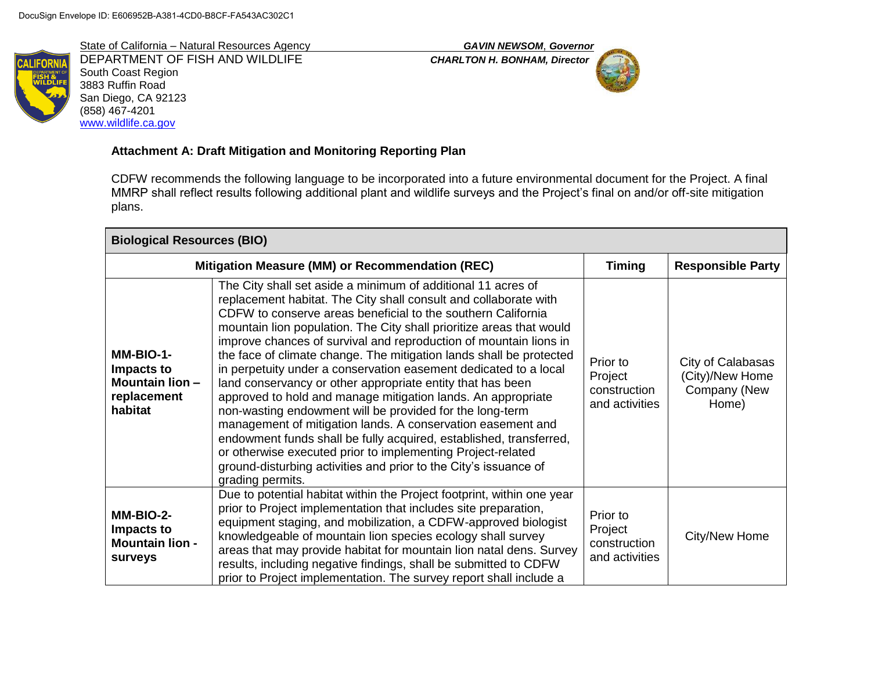State of California – Natural Resources Agency *GAVIN NEWSOM*, *Governor* DEPARTMENT OF FISH AND WILDLIFE *CHARLTON H. BONHAM, Director* South Coast Region 3883 Ruffin Road San Diego, CA 92123 (858) 467-4201 [www.wildlife.ca.gov](http://www.wildlife.ca.gov/)



# **Attachment A: Draft Mitigation and Monitoring Reporting Plan**

CDFW recommends the following language to be incorporated into a future environmental document for the Project. A final MMRP shall reflect results following additional plant and wildlife surveys and the Project's final on and/or off-site mitigation plans.

| <b>Biological Resources (BIO)</b>                                           |                                                                                                                                                                                                                                                                                                                                                                                                                                                                                                                                                                                                                                                                                                                                                                                                                                                                                                                                                                                |                                                       |                                                               |
|-----------------------------------------------------------------------------|--------------------------------------------------------------------------------------------------------------------------------------------------------------------------------------------------------------------------------------------------------------------------------------------------------------------------------------------------------------------------------------------------------------------------------------------------------------------------------------------------------------------------------------------------------------------------------------------------------------------------------------------------------------------------------------------------------------------------------------------------------------------------------------------------------------------------------------------------------------------------------------------------------------------------------------------------------------------------------|-------------------------------------------------------|---------------------------------------------------------------|
|                                                                             | Mitigation Measure (MM) or Recommendation (REC)                                                                                                                                                                                                                                                                                                                                                                                                                                                                                                                                                                                                                                                                                                                                                                                                                                                                                                                                | <b>Timing</b>                                         | <b>Responsible Party</b>                                      |
| MM-BIO-1-<br>Impacts to<br><b>Mountain lion -</b><br>replacement<br>habitat | The City shall set aside a minimum of additional 11 acres of<br>replacement habitat. The City shall consult and collaborate with<br>CDFW to conserve areas beneficial to the southern California<br>mountain lion population. The City shall prioritize areas that would<br>improve chances of survival and reproduction of mountain lions in<br>the face of climate change. The mitigation lands shall be protected<br>in perpetuity under a conservation easement dedicated to a local<br>land conservancy or other appropriate entity that has been<br>approved to hold and manage mitigation lands. An appropriate<br>non-wasting endowment will be provided for the long-term<br>management of mitigation lands. A conservation easement and<br>endowment funds shall be fully acquired, established, transferred,<br>or otherwise executed prior to implementing Project-related<br>ground-disturbing activities and prior to the City's issuance of<br>grading permits. | Prior to<br>Project<br>construction<br>and activities | City of Calabasas<br>(City)/New Home<br>Company (New<br>Home) |
| MM-BIO-2-<br>Impacts to<br><b>Mountain lion -</b><br>surveys                | Due to potential habitat within the Project footprint, within one year<br>prior to Project implementation that includes site preparation,<br>equipment staging, and mobilization, a CDFW-approved biologist<br>knowledgeable of mountain lion species ecology shall survey<br>areas that may provide habitat for mountain lion natal dens. Survey<br>results, including negative findings, shall be submitted to CDFW<br>prior to Project implementation. The survey report shall include a                                                                                                                                                                                                                                                                                                                                                                                                                                                                                    | Prior to<br>Project<br>construction<br>and activities | City/New Home                                                 |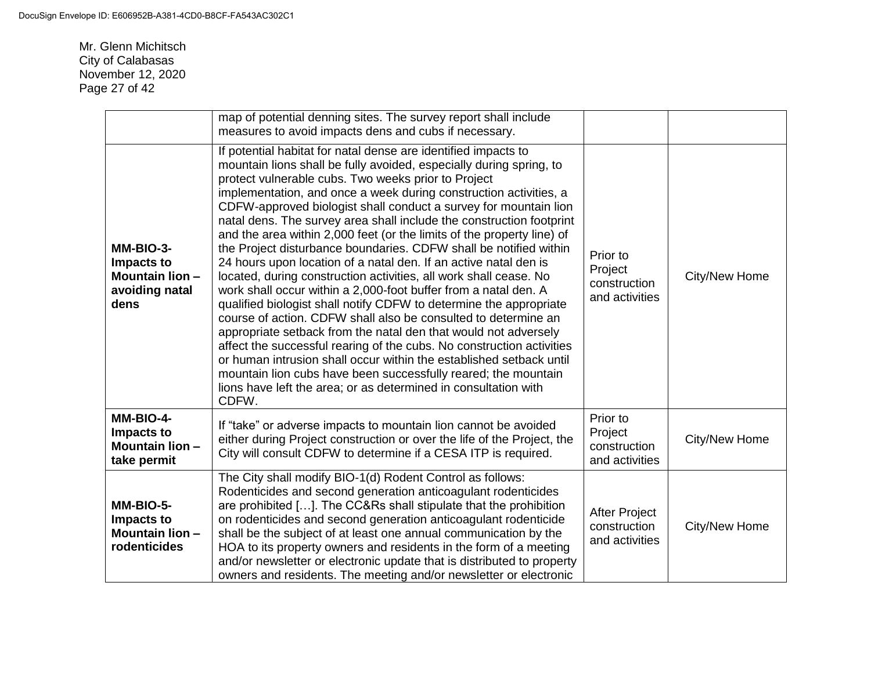Mr. Glenn Michitsch City of Calabasas November 12, 2020 Page 27 of 42

|                                                                             | map of potential denning sites. The survey report shall include<br>measures to avoid impacts dens and cubs if necessary.                                                                                                                                                                                                                                                                                                                                                                                                                                                                                                                                                                                                                                                                                                                                                                                                                                                                                                                                                                                                                                                                                                                                                          |                                                        |               |
|-----------------------------------------------------------------------------|-----------------------------------------------------------------------------------------------------------------------------------------------------------------------------------------------------------------------------------------------------------------------------------------------------------------------------------------------------------------------------------------------------------------------------------------------------------------------------------------------------------------------------------------------------------------------------------------------------------------------------------------------------------------------------------------------------------------------------------------------------------------------------------------------------------------------------------------------------------------------------------------------------------------------------------------------------------------------------------------------------------------------------------------------------------------------------------------------------------------------------------------------------------------------------------------------------------------------------------------------------------------------------------|--------------------------------------------------------|---------------|
| MM-BIO-3-<br>Impacts to<br><b>Mountain lion -</b><br>avoiding natal<br>dens | If potential habitat for natal dense are identified impacts to<br>mountain lions shall be fully avoided, especially during spring, to<br>protect vulnerable cubs. Two weeks prior to Project<br>implementation, and once a week during construction activities, a<br>CDFW-approved biologist shall conduct a survey for mountain lion<br>natal dens. The survey area shall include the construction footprint<br>and the area within 2,000 feet (or the limits of the property line) of<br>the Project disturbance boundaries. CDFW shall be notified within<br>24 hours upon location of a natal den. If an active natal den is<br>located, during construction activities, all work shall cease. No<br>work shall occur within a 2,000-foot buffer from a natal den. A<br>qualified biologist shall notify CDFW to determine the appropriate<br>course of action. CDFW shall also be consulted to determine an<br>appropriate setback from the natal den that would not adversely<br>affect the successful rearing of the cubs. No construction activities<br>or human intrusion shall occur within the established setback until<br>mountain lion cubs have been successfully reared; the mountain<br>lions have left the area; or as determined in consultation with<br>CDFW. | Prior to<br>Project<br>construction<br>and activities  | City/New Home |
| MM-BIO-4-<br>Impacts to<br><b>Mountain lion -</b><br>take permit            | If "take" or adverse impacts to mountain lion cannot be avoided<br>either during Project construction or over the life of the Project, the<br>City will consult CDFW to determine if a CESA ITP is required.                                                                                                                                                                                                                                                                                                                                                                                                                                                                                                                                                                                                                                                                                                                                                                                                                                                                                                                                                                                                                                                                      | Prior to<br>Project<br>construction<br>and activities  | City/New Home |
| MM-BIO-5-<br>Impacts to<br><b>Mountain lion -</b><br>rodenticides           | The City shall modify BIO-1(d) Rodent Control as follows:<br>Rodenticides and second generation anticoagulant rodenticides<br>are prohibited []. The CC&Rs shall stipulate that the prohibition<br>on rodenticides and second generation anticoagulant rodenticide<br>shall be the subject of at least one annual communication by the<br>HOA to its property owners and residents in the form of a meeting<br>and/or newsletter or electronic update that is distributed to property<br>owners and residents. The meeting and/or newsletter or electronic                                                                                                                                                                                                                                                                                                                                                                                                                                                                                                                                                                                                                                                                                                                        | <b>After Project</b><br>construction<br>and activities | City/New Home |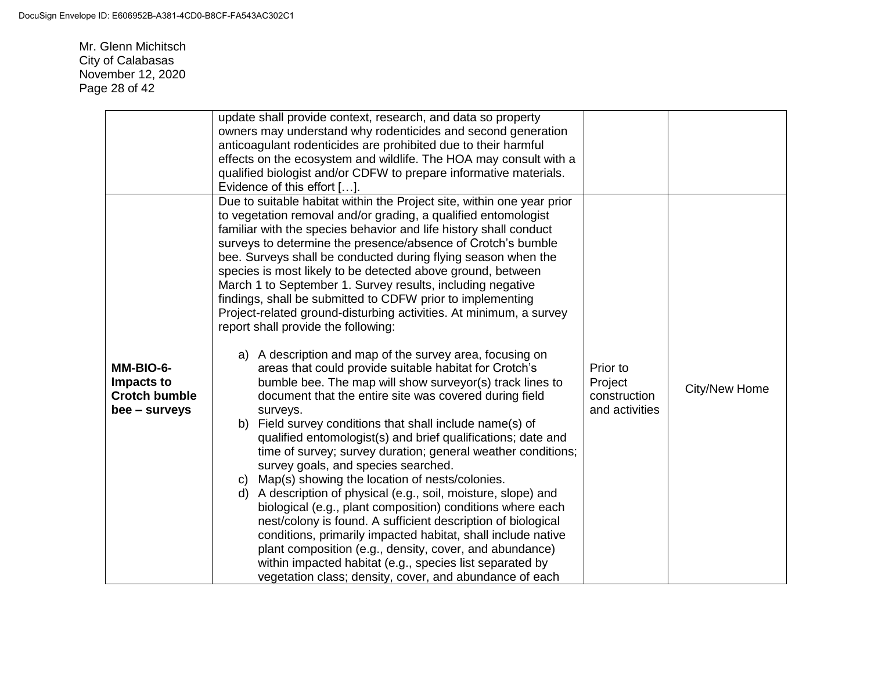Mr. Glenn Michitsch City of Calabasas November 12, 2020 Page 28 of 42

|                                                                  | update shall provide context, research, and data so property<br>owners may understand why rodenticides and second generation<br>anticoagulant rodenticides are prohibited due to their harmful<br>effects on the ecosystem and wildlife. The HOA may consult with a<br>qualified biologist and/or CDFW to prepare informative materials.<br>Evidence of this effort [].                                                                                                                                                                                                                                                                                                                                                                                                                                                                                                                                                                                                                                                                                                                                                                                                                                                                                                                                                                                                                                                                                                                                                                                                                                                                                        |                                                       |               |
|------------------------------------------------------------------|----------------------------------------------------------------------------------------------------------------------------------------------------------------------------------------------------------------------------------------------------------------------------------------------------------------------------------------------------------------------------------------------------------------------------------------------------------------------------------------------------------------------------------------------------------------------------------------------------------------------------------------------------------------------------------------------------------------------------------------------------------------------------------------------------------------------------------------------------------------------------------------------------------------------------------------------------------------------------------------------------------------------------------------------------------------------------------------------------------------------------------------------------------------------------------------------------------------------------------------------------------------------------------------------------------------------------------------------------------------------------------------------------------------------------------------------------------------------------------------------------------------------------------------------------------------------------------------------------------------------------------------------------------------|-------------------------------------------------------|---------------|
| MM-BIO-6-<br>Impacts to<br><b>Crotch bumble</b><br>bee - surveys | Due to suitable habitat within the Project site, within one year prior<br>to vegetation removal and/or grading, a qualified entomologist<br>familiar with the species behavior and life history shall conduct<br>surveys to determine the presence/absence of Crotch's bumble<br>bee. Surveys shall be conducted during flying season when the<br>species is most likely to be detected above ground, between<br>March 1 to September 1. Survey results, including negative<br>findings, shall be submitted to CDFW prior to implementing<br>Project-related ground-disturbing activities. At minimum, a survey<br>report shall provide the following:<br>a) A description and map of the survey area, focusing on<br>areas that could provide suitable habitat for Crotch's<br>bumble bee. The map will show surveyor(s) track lines to<br>document that the entire site was covered during field<br>surveys.<br>b) Field survey conditions that shall include name(s) of<br>qualified entomologist(s) and brief qualifications; date and<br>time of survey; survey duration; general weather conditions;<br>survey goals, and species searched.<br>Map(s) showing the location of nests/colonies.<br>C)<br>A description of physical (e.g., soil, moisture, slope) and<br>d)<br>biological (e.g., plant composition) conditions where each<br>nest/colony is found. A sufficient description of biological<br>conditions, primarily impacted habitat, shall include native<br>plant composition (e.g., density, cover, and abundance)<br>within impacted habitat (e.g., species list separated by<br>vegetation class; density, cover, and abundance of each | Prior to<br>Project<br>construction<br>and activities | City/New Home |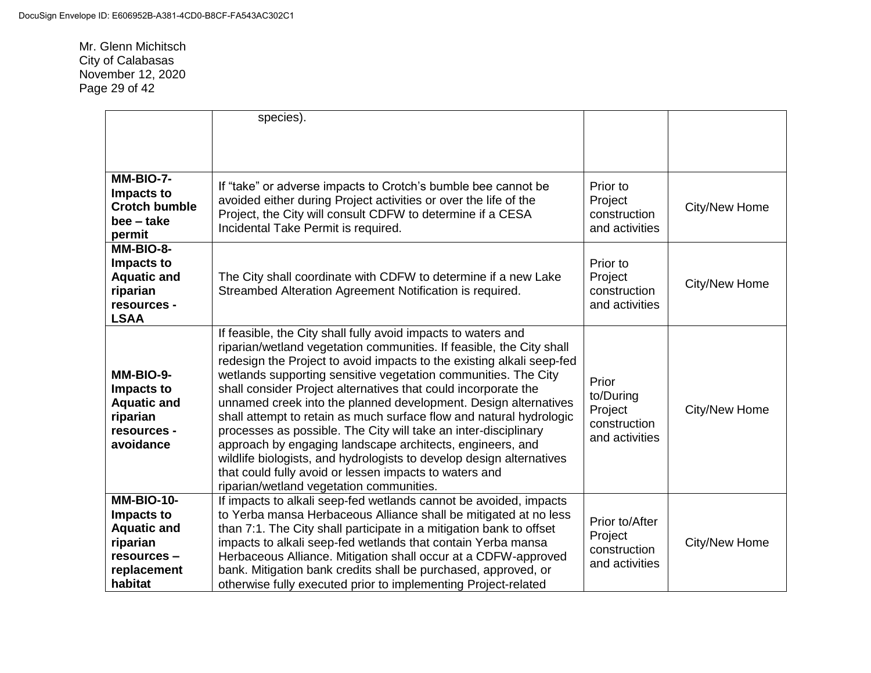Mr. Glenn Michitsch City of Calabasas November 12, 2020 Page 29 of 42

|                                                                                                            | species).                                                                                                                                                                                                                                                                                                                                                                                                                                                                                                                                                                                                                                                                                                                                                                                                  |                                                                 |               |
|------------------------------------------------------------------------------------------------------------|------------------------------------------------------------------------------------------------------------------------------------------------------------------------------------------------------------------------------------------------------------------------------------------------------------------------------------------------------------------------------------------------------------------------------------------------------------------------------------------------------------------------------------------------------------------------------------------------------------------------------------------------------------------------------------------------------------------------------------------------------------------------------------------------------------|-----------------------------------------------------------------|---------------|
|                                                                                                            |                                                                                                                                                                                                                                                                                                                                                                                                                                                                                                                                                                                                                                                                                                                                                                                                            |                                                                 |               |
|                                                                                                            |                                                                                                                                                                                                                                                                                                                                                                                                                                                                                                                                                                                                                                                                                                                                                                                                            |                                                                 |               |
| MM-BIO-7-<br>Impacts to<br><b>Crotch bumble</b><br>bee – take<br>permit                                    | If "take" or adverse impacts to Crotch's bumble bee cannot be<br>avoided either during Project activities or over the life of the<br>Project, the City will consult CDFW to determine if a CESA<br>Incidental Take Permit is required.                                                                                                                                                                                                                                                                                                                                                                                                                                                                                                                                                                     | Prior to<br>Project<br>construction<br>and activities           | City/New Home |
| MM-BIO-8-<br>Impacts to<br><b>Aquatic and</b><br>riparian<br>resources -<br><b>LSAA</b>                    | The City shall coordinate with CDFW to determine if a new Lake<br>Streambed Alteration Agreement Notification is required.                                                                                                                                                                                                                                                                                                                                                                                                                                                                                                                                                                                                                                                                                 | Prior to<br>Project<br>construction<br>and activities           | City/New Home |
| MM-BIO-9-<br>Impacts to<br><b>Aquatic and</b><br>riparian<br>resources -<br>avoidance                      | If feasible, the City shall fully avoid impacts to waters and<br>riparian/wetland vegetation communities. If feasible, the City shall<br>redesign the Project to avoid impacts to the existing alkali seep-fed<br>wetlands supporting sensitive vegetation communities. The City<br>shall consider Project alternatives that could incorporate the<br>unnamed creek into the planned development. Design alternatives<br>shall attempt to retain as much surface flow and natural hydrologic<br>processes as possible. The City will take an inter-disciplinary<br>approach by engaging landscape architects, engineers, and<br>wildlife biologists, and hydrologists to develop design alternatives<br>that could fully avoid or lessen impacts to waters and<br>riparian/wetland vegetation communities. | Prior<br>to/During<br>Project<br>construction<br>and activities | City/New Home |
| <b>MM-BIO-10-</b><br>Impacts to<br><b>Aquatic and</b><br>riparian<br>resources -<br>replacement<br>habitat | If impacts to alkali seep-fed wetlands cannot be avoided, impacts<br>to Yerba mansa Herbaceous Alliance shall be mitigated at no less<br>than 7:1. The City shall participate in a mitigation bank to offset<br>impacts to alkali seep-fed wetlands that contain Yerba mansa<br>Herbaceous Alliance. Mitigation shall occur at a CDFW-approved<br>bank. Mitigation bank credits shall be purchased, approved, or<br>otherwise fully executed prior to implementing Project-related                                                                                                                                                                                                                                                                                                                         | Prior to/After<br>Project<br>construction<br>and activities     | City/New Home |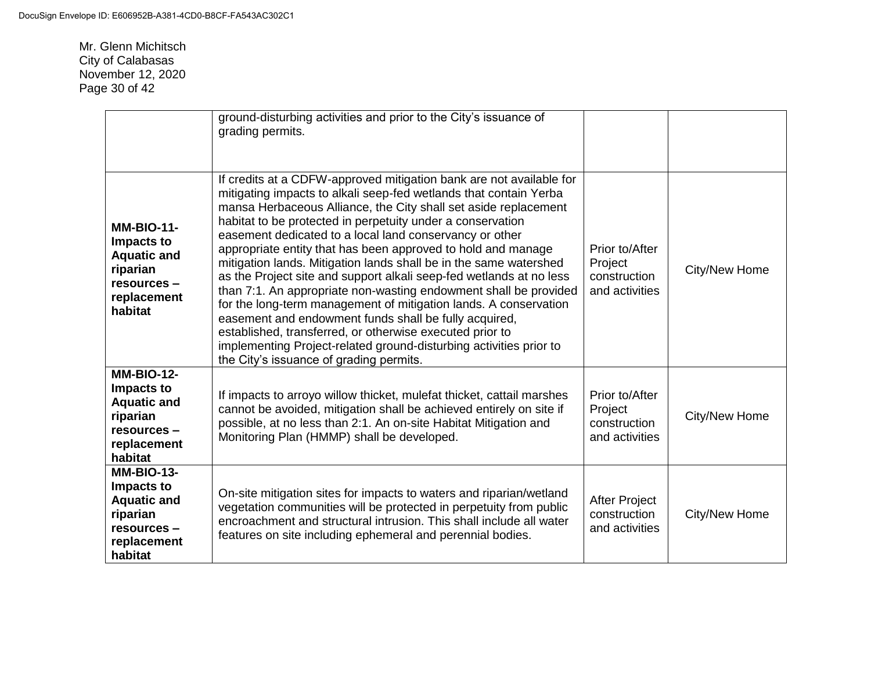Mr. Glenn Michitsch City of Calabasas November 12, 2020 Page 30 of 42

|                                                                                                            | ground-disturbing activities and prior to the City's issuance of<br>grading permits.                                                                                                                                                                                                                                                                                                                                                                                                                                                                                                                                                                                                                                                                                                                                                                                                                                           |                                                             |               |
|------------------------------------------------------------------------------------------------------------|--------------------------------------------------------------------------------------------------------------------------------------------------------------------------------------------------------------------------------------------------------------------------------------------------------------------------------------------------------------------------------------------------------------------------------------------------------------------------------------------------------------------------------------------------------------------------------------------------------------------------------------------------------------------------------------------------------------------------------------------------------------------------------------------------------------------------------------------------------------------------------------------------------------------------------|-------------------------------------------------------------|---------------|
| <b>MM-BIO-11-</b><br>Impacts to<br><b>Aquatic and</b><br>riparian<br>resources -<br>replacement<br>habitat | If credits at a CDFW-approved mitigation bank are not available for<br>mitigating impacts to alkali seep-fed wetlands that contain Yerba<br>mansa Herbaceous Alliance, the City shall set aside replacement<br>habitat to be protected in perpetuity under a conservation<br>easement dedicated to a local land conservancy or other<br>appropriate entity that has been approved to hold and manage<br>mitigation lands. Mitigation lands shall be in the same watershed<br>as the Project site and support alkali seep-fed wetlands at no less<br>than 7:1. An appropriate non-wasting endowment shall be provided<br>for the long-term management of mitigation lands. A conservation<br>easement and endowment funds shall be fully acquired,<br>established, transferred, or otherwise executed prior to<br>implementing Project-related ground-disturbing activities prior to<br>the City's issuance of grading permits. | Prior to/After<br>Project<br>construction<br>and activities | City/New Home |
| <b>MM-BIO-12-</b><br>Impacts to<br><b>Aquatic and</b><br>riparian<br>resources -<br>replacement<br>habitat | If impacts to arroyo willow thicket, mulefat thicket, cattail marshes<br>cannot be avoided, mitigation shall be achieved entirely on site if<br>possible, at no less than 2:1. An on-site Habitat Mitigation and<br>Monitoring Plan (HMMP) shall be developed.                                                                                                                                                                                                                                                                                                                                                                                                                                                                                                                                                                                                                                                                 | Prior to/After<br>Project<br>construction<br>and activities | City/New Home |
| <b>MM-BIO-13-</b><br>Impacts to<br><b>Aquatic and</b><br>riparian<br>resources -<br>replacement<br>habitat | On-site mitigation sites for impacts to waters and riparian/wetland<br>vegetation communities will be protected in perpetuity from public<br>encroachment and structural intrusion. This shall include all water<br>features on site including ephemeral and perennial bodies.                                                                                                                                                                                                                                                                                                                                                                                                                                                                                                                                                                                                                                                 | <b>After Project</b><br>construction<br>and activities      | City/New Home |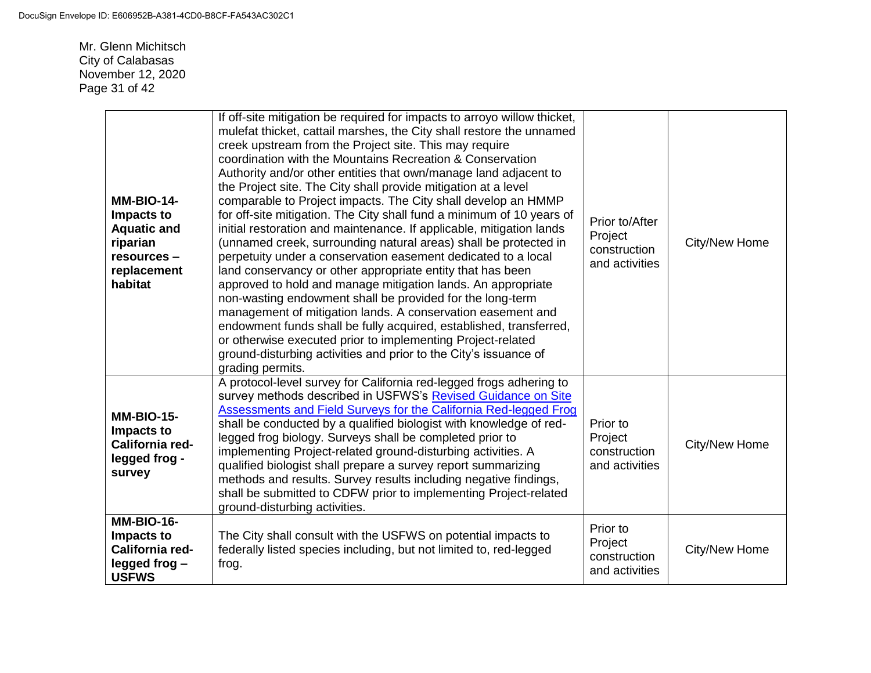Mr. Glenn Michitsch City of Calabasas November 12, 2020 Page 31 of 42

| <b>MM-BIO-14-</b><br>Impacts to<br><b>Aquatic and</b><br>riparian<br>resources -<br>replacement<br>habitat | If off-site mitigation be required for impacts to arroyo willow thicket,<br>mulefat thicket, cattail marshes, the City shall restore the unnamed<br>creek upstream from the Project site. This may require<br>coordination with the Mountains Recreation & Conservation<br>Authority and/or other entities that own/manage land adjacent to<br>the Project site. The City shall provide mitigation at a level<br>comparable to Project impacts. The City shall develop an HMMP<br>for off-site mitigation. The City shall fund a minimum of 10 years of<br>initial restoration and maintenance. If applicable, mitigation lands<br>(unnamed creek, surrounding natural areas) shall be protected in<br>perpetuity under a conservation easement dedicated to a local<br>land conservancy or other appropriate entity that has been<br>approved to hold and manage mitigation lands. An appropriate<br>non-wasting endowment shall be provided for the long-term<br>management of mitigation lands. A conservation easement and<br>endowment funds shall be fully acquired, established, transferred,<br>or otherwise executed prior to implementing Project-related<br>ground-disturbing activities and prior to the City's issuance of<br>grading permits. | Prior to/After<br>Project<br>construction<br>and activities | City/New Home |
|------------------------------------------------------------------------------------------------------------|-------------------------------------------------------------------------------------------------------------------------------------------------------------------------------------------------------------------------------------------------------------------------------------------------------------------------------------------------------------------------------------------------------------------------------------------------------------------------------------------------------------------------------------------------------------------------------------------------------------------------------------------------------------------------------------------------------------------------------------------------------------------------------------------------------------------------------------------------------------------------------------------------------------------------------------------------------------------------------------------------------------------------------------------------------------------------------------------------------------------------------------------------------------------------------------------------------------------------------------------------------------|-------------------------------------------------------------|---------------|
| <b>MM-BIO-15-</b><br>Impacts to<br>California red-<br>legged frog -<br>survey                              | A protocol-level survey for California red-legged frogs adhering to<br>survey methods described in USFWS's Revised Guidance on Site<br>Assessments and Field Surveys for the California Red-legged Frog<br>shall be conducted by a qualified biologist with knowledge of red-<br>legged frog biology. Surveys shall be completed prior to<br>implementing Project-related ground-disturbing activities. A<br>qualified biologist shall prepare a survey report summarizing<br>methods and results. Survey results including negative findings,<br>shall be submitted to CDFW prior to implementing Project-related<br>ground-disturbing activities.                                                                                                                                                                                                                                                                                                                                                                                                                                                                                                                                                                                                         | Prior to<br>Project<br>construction<br>and activities       | City/New Home |
| <b>MM-BIO-16-</b><br>Impacts to<br>California red-<br>legged frog-<br><b>USFWS</b>                         | The City shall consult with the USFWS on potential impacts to<br>federally listed species including, but not limited to, red-legged<br>frog.                                                                                                                                                                                                                                                                                                                                                                                                                                                                                                                                                                                                                                                                                                                                                                                                                                                                                                                                                                                                                                                                                                                | Prior to<br>Project<br>construction<br>and activities       | City/New Home |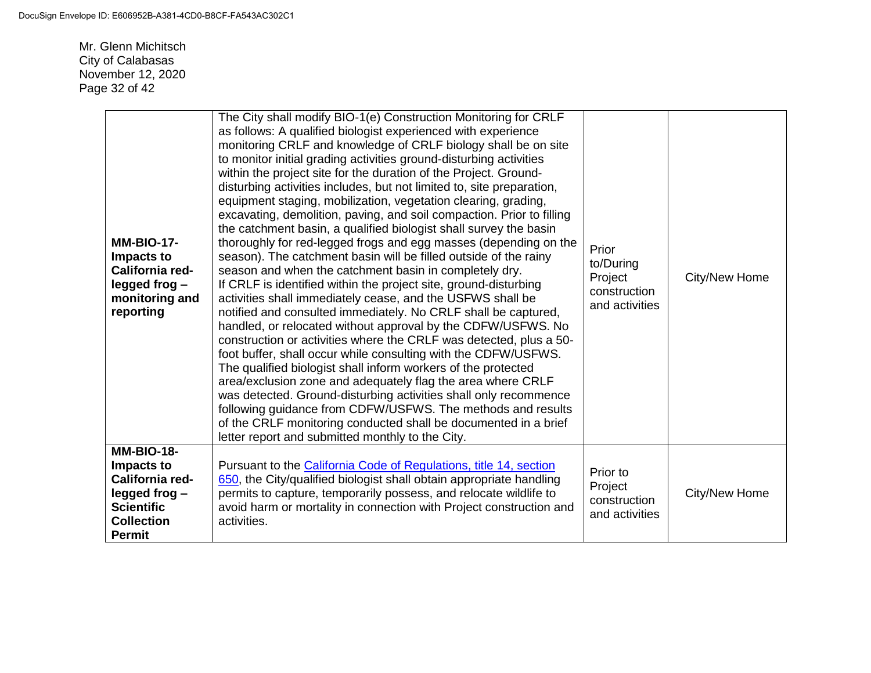Mr. Glenn Michitsch City of Calabasas November 12, 2020 Page 32 of 42

| <b>MM-BIO-17-</b><br>Impacts to<br>California red-<br>legged frog-<br>monitoring and<br>reporting                             | The City shall modify BIO-1(e) Construction Monitoring for CRLF<br>as follows: A qualified biologist experienced with experience<br>monitoring CRLF and knowledge of CRLF biology shall be on site<br>to monitor initial grading activities ground-disturbing activities<br>within the project site for the duration of the Project. Ground-<br>disturbing activities includes, but not limited to, site preparation,<br>equipment staging, mobilization, vegetation clearing, grading,<br>excavating, demolition, paving, and soil compaction. Prior to filling<br>the catchment basin, a qualified biologist shall survey the basin<br>thoroughly for red-legged frogs and egg masses (depending on the<br>season). The catchment basin will be filled outside of the rainy<br>season and when the catchment basin in completely dry.<br>If CRLF is identified within the project site, ground-disturbing<br>activities shall immediately cease, and the USFWS shall be<br>notified and consulted immediately. No CRLF shall be captured,<br>handled, or relocated without approval by the CDFW/USFWS. No<br>construction or activities where the CRLF was detected, plus a 50-<br>foot buffer, shall occur while consulting with the CDFW/USFWS.<br>The qualified biologist shall inform workers of the protected<br>area/exclusion zone and adequately flag the area where CRLF<br>was detected. Ground-disturbing activities shall only recommence<br>following guidance from CDFW/USFWS. The methods and results<br>of the CRLF monitoring conducted shall be documented in a brief<br>letter report and submitted monthly to the City. | Prior<br>to/During<br>Project<br>construction<br>and activities | City/New Home |
|-------------------------------------------------------------------------------------------------------------------------------|-----------------------------------------------------------------------------------------------------------------------------------------------------------------------------------------------------------------------------------------------------------------------------------------------------------------------------------------------------------------------------------------------------------------------------------------------------------------------------------------------------------------------------------------------------------------------------------------------------------------------------------------------------------------------------------------------------------------------------------------------------------------------------------------------------------------------------------------------------------------------------------------------------------------------------------------------------------------------------------------------------------------------------------------------------------------------------------------------------------------------------------------------------------------------------------------------------------------------------------------------------------------------------------------------------------------------------------------------------------------------------------------------------------------------------------------------------------------------------------------------------------------------------------------------------------------------------------------------------------------------------------------------|-----------------------------------------------------------------|---------------|
| <b>MM-BIO-18-</b><br>Impacts to<br>California red-<br>legged frog-<br><b>Scientific</b><br><b>Collection</b><br><b>Permit</b> | Pursuant to the California Code of Regulations, title 14, section<br>650, the City/qualified biologist shall obtain appropriate handling<br>permits to capture, temporarily possess, and relocate wildlife to<br>avoid harm or mortality in connection with Project construction and<br>activities.                                                                                                                                                                                                                                                                                                                                                                                                                                                                                                                                                                                                                                                                                                                                                                                                                                                                                                                                                                                                                                                                                                                                                                                                                                                                                                                                           | Prior to<br>Project<br>construction<br>and activities           | City/New Home |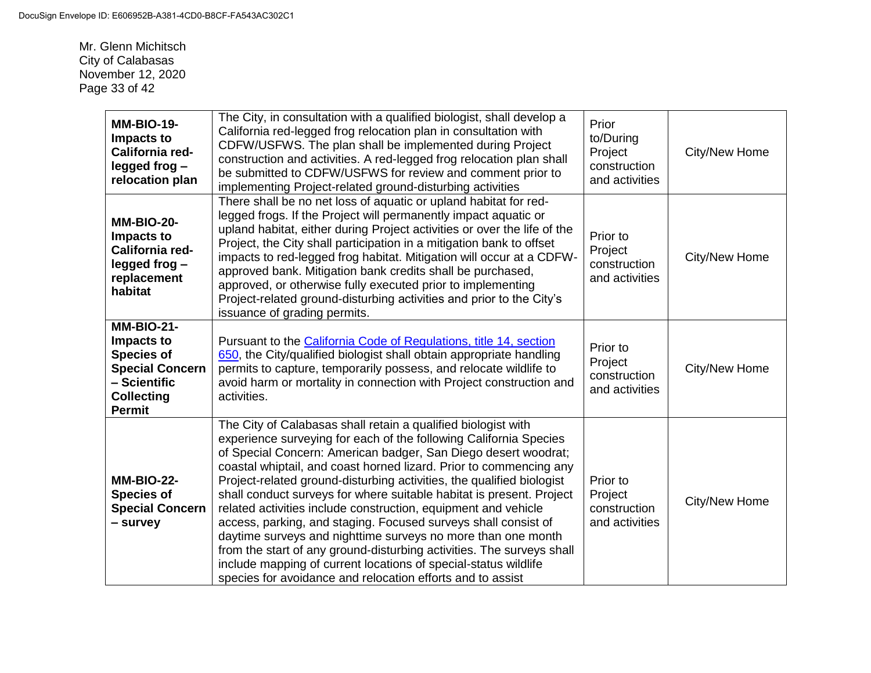Mr. Glenn Michitsch City of Calabasas November 12, 2020 Page 33 of 42

| <b>MM-BIO-19-</b><br>Impacts to<br>California red-<br>legged frog-<br>relocation plan                                                | The City, in consultation with a qualified biologist, shall develop a<br>California red-legged frog relocation plan in consultation with<br>CDFW/USFWS. The plan shall be implemented during Project<br>construction and activities. A red-legged frog relocation plan shall<br>be submitted to CDFW/USFWS for review and comment prior to<br>implementing Project-related ground-disturbing activities                                                                                                                                                                                                                                                                                                                                                                                                                                   | Prior<br>to/During<br>Project<br>construction<br>and activities | City/New Home        |
|--------------------------------------------------------------------------------------------------------------------------------------|-------------------------------------------------------------------------------------------------------------------------------------------------------------------------------------------------------------------------------------------------------------------------------------------------------------------------------------------------------------------------------------------------------------------------------------------------------------------------------------------------------------------------------------------------------------------------------------------------------------------------------------------------------------------------------------------------------------------------------------------------------------------------------------------------------------------------------------------|-----------------------------------------------------------------|----------------------|
| <b>MM-BIO-20-</b><br>Impacts to<br>California red-<br>legged frog-<br>replacement<br>habitat                                         | There shall be no net loss of aquatic or upland habitat for red-<br>legged frogs. If the Project will permanently impact aquatic or<br>upland habitat, either during Project activities or over the life of the<br>Project, the City shall participation in a mitigation bank to offset<br>impacts to red-legged frog habitat. Mitigation will occur at a CDFW-<br>approved bank. Mitigation bank credits shall be purchased,<br>approved, or otherwise fully executed prior to implementing<br>Project-related ground-disturbing activities and prior to the City's<br>issuance of grading permits.                                                                                                                                                                                                                                      | Prior to<br>Project<br>construction<br>and activities           | <b>City/New Home</b> |
| <b>MM-BIO-21-</b><br>Impacts to<br><b>Species of</b><br><b>Special Concern</b><br>- Scientific<br><b>Collecting</b><br><b>Permit</b> | Pursuant to the California Code of Regulations, title 14, section<br>650, the City/qualified biologist shall obtain appropriate handling<br>permits to capture, temporarily possess, and relocate wildlife to<br>avoid harm or mortality in connection with Project construction and<br>activities.                                                                                                                                                                                                                                                                                                                                                                                                                                                                                                                                       | Prior to<br>Project<br>construction<br>and activities           | City/New Home        |
| <b>MM-BIO-22-</b><br><b>Species of</b><br><b>Special Concern</b><br>- survey                                                         | The City of Calabasas shall retain a qualified biologist with<br>experience surveying for each of the following California Species<br>of Special Concern: American badger, San Diego desert woodrat;<br>coastal whiptail, and coast horned lizard. Prior to commencing any<br>Project-related ground-disturbing activities, the qualified biologist<br>shall conduct surveys for where suitable habitat is present. Project<br>related activities include construction, equipment and vehicle<br>access, parking, and staging. Focused surveys shall consist of<br>daytime surveys and nighttime surveys no more than one month<br>from the start of any ground-disturbing activities. The surveys shall<br>include mapping of current locations of special-status wildlife<br>species for avoidance and relocation efforts and to assist | Prior to<br>Project<br>construction<br>and activities           | City/New Home        |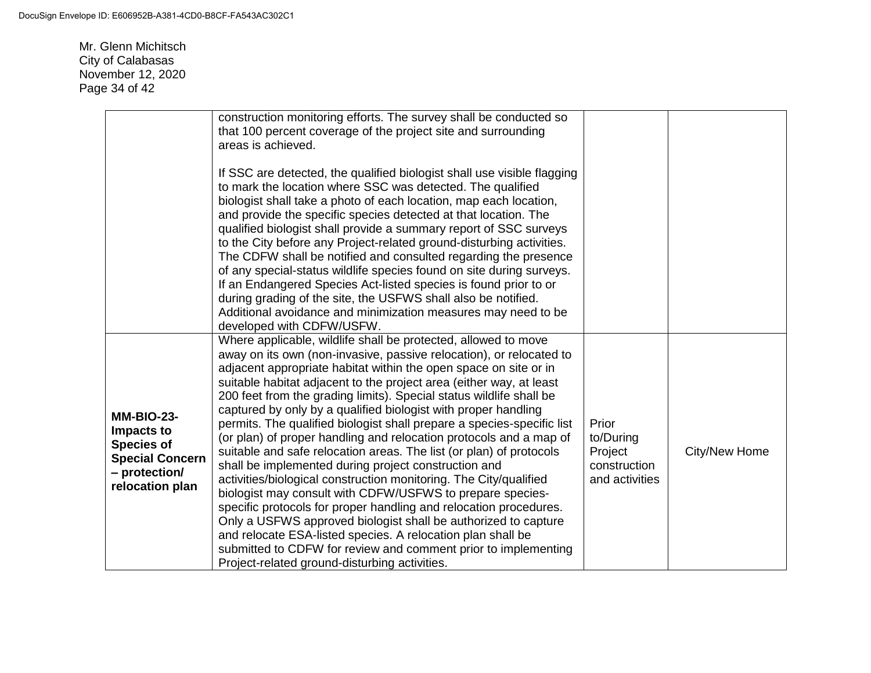Mr. Glenn Michitsch City of Calabasas November 12, 2020 Page 34 of 42

|                                                                                                                    | construction monitoring efforts. The survey shall be conducted so<br>that 100 percent coverage of the project site and surrounding<br>areas is achieved.<br>If SSC are detected, the qualified biologist shall use visible flagging<br>to mark the location where SSC was detected. The qualified<br>biologist shall take a photo of each location, map each location,<br>and provide the specific species detected at that location. The<br>qualified biologist shall provide a summary report of SSC surveys<br>to the City before any Project-related ground-disturbing activities.<br>The CDFW shall be notified and consulted regarding the presence<br>of any special-status wildlife species found on site during surveys.<br>If an Endangered Species Act-listed species is found prior to or                                                                                                                                                                                                                                                                                                                                                               |                                                                 |               |
|--------------------------------------------------------------------------------------------------------------------|---------------------------------------------------------------------------------------------------------------------------------------------------------------------------------------------------------------------------------------------------------------------------------------------------------------------------------------------------------------------------------------------------------------------------------------------------------------------------------------------------------------------------------------------------------------------------------------------------------------------------------------------------------------------------------------------------------------------------------------------------------------------------------------------------------------------------------------------------------------------------------------------------------------------------------------------------------------------------------------------------------------------------------------------------------------------------------------------------------------------------------------------------------------------|-----------------------------------------------------------------|---------------|
|                                                                                                                    | during grading of the site, the USFWS shall also be notified.<br>Additional avoidance and minimization measures may need to be<br>developed with CDFW/USFW.                                                                                                                                                                                                                                                                                                                                                                                                                                                                                                                                                                                                                                                                                                                                                                                                                                                                                                                                                                                                         |                                                                 |               |
| <b>MM-BIO-23-</b><br>Impacts to<br><b>Species of</b><br><b>Special Concern</b><br>- protection/<br>relocation plan | Where applicable, wildlife shall be protected, allowed to move<br>away on its own (non-invasive, passive relocation), or relocated to<br>adjacent appropriate habitat within the open space on site or in<br>suitable habitat adjacent to the project area (either way, at least<br>200 feet from the grading limits). Special status wildlife shall be<br>captured by only by a qualified biologist with proper handling<br>permits. The qualified biologist shall prepare a species-specific list<br>(or plan) of proper handling and relocation protocols and a map of<br>suitable and safe relocation areas. The list (or plan) of protocols<br>shall be implemented during project construction and<br>activities/biological construction monitoring. The City/qualified<br>biologist may consult with CDFW/USFWS to prepare species-<br>specific protocols for proper handling and relocation procedures.<br>Only a USFWS approved biologist shall be authorized to capture<br>and relocate ESA-listed species. A relocation plan shall be<br>submitted to CDFW for review and comment prior to implementing<br>Project-related ground-disturbing activities. | Prior<br>to/During<br>Project<br>construction<br>and activities | City/New Home |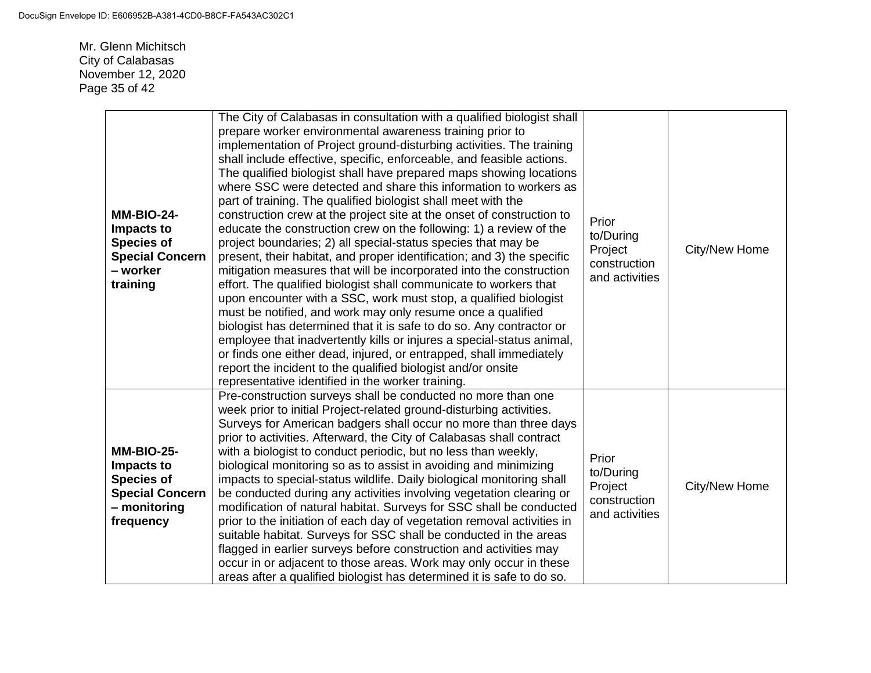Mr. Glenn Michitsch City of Calabasas November 12, 2020 Page 35 of 42

| <b>MM-BIO-24-</b><br>Impacts to<br><b>Species of</b><br><b>Special Concern</b><br>– worker<br>training      | The City of Calabasas in consultation with a qualified biologist shall<br>prepare worker environmental awareness training prior to<br>implementation of Project ground-disturbing activities. The training<br>shall include effective, specific, enforceable, and feasible actions.<br>The qualified biologist shall have prepared maps showing locations<br>where SSC were detected and share this information to workers as<br>part of training. The qualified biologist shall meet with the<br>construction crew at the project site at the onset of construction to<br>educate the construction crew on the following: 1) a review of the<br>project boundaries; 2) all special-status species that may be<br>present, their habitat, and proper identification; and 3) the specific<br>mitigation measures that will be incorporated into the construction<br>effort. The qualified biologist shall communicate to workers that<br>upon encounter with a SSC, work must stop, a qualified biologist<br>must be notified, and work may only resume once a qualified<br>biologist has determined that it is safe to do so. Any contractor or<br>employee that inadvertently kills or injures a special-status animal,<br>or finds one either dead, injured, or entrapped, shall immediately<br>report the incident to the qualified biologist and/or onsite<br>representative identified in the worker training. | Prior<br>to/During<br>Project<br>construction<br>and activities | City/New Home |
|-------------------------------------------------------------------------------------------------------------|---------------------------------------------------------------------------------------------------------------------------------------------------------------------------------------------------------------------------------------------------------------------------------------------------------------------------------------------------------------------------------------------------------------------------------------------------------------------------------------------------------------------------------------------------------------------------------------------------------------------------------------------------------------------------------------------------------------------------------------------------------------------------------------------------------------------------------------------------------------------------------------------------------------------------------------------------------------------------------------------------------------------------------------------------------------------------------------------------------------------------------------------------------------------------------------------------------------------------------------------------------------------------------------------------------------------------------------------------------------------------------------------------------------------|-----------------------------------------------------------------|---------------|
| <b>MM-BIO-25-</b><br>Impacts to<br><b>Species of</b><br><b>Special Concern</b><br>- monitoring<br>frequency | Pre-construction surveys shall be conducted no more than one<br>week prior to initial Project-related ground-disturbing activities.<br>Surveys for American badgers shall occur no more than three days<br>prior to activities. Afterward, the City of Calabasas shall contract<br>with a biologist to conduct periodic, but no less than weekly,<br>biological monitoring so as to assist in avoiding and minimizing<br>impacts to special-status wildlife. Daily biological monitoring shall<br>be conducted during any activities involving vegetation clearing or<br>modification of natural habitat. Surveys for SSC shall be conducted<br>prior to the initiation of each day of vegetation removal activities in<br>suitable habitat. Surveys for SSC shall be conducted in the areas<br>flagged in earlier surveys before construction and activities may<br>occur in or adjacent to those areas. Work may only occur in these<br>areas after a qualified biologist has determined it is safe to do so.                                                                                                                                                                                                                                                                                                                                                                                                     | Prior<br>to/During<br>Project<br>construction<br>and activities | City/New Home |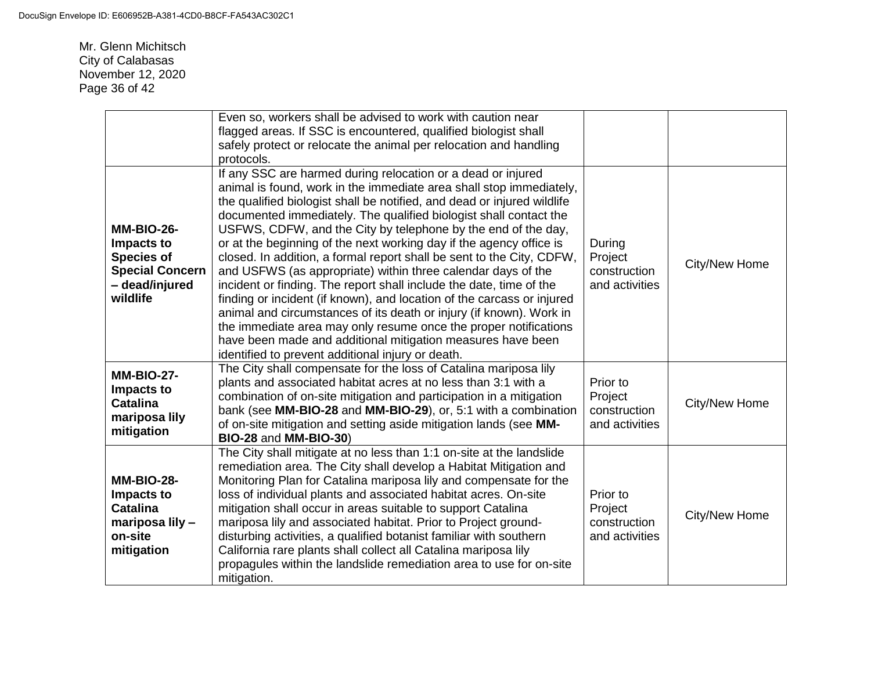Mr. Glenn Michitsch City of Calabasas November 12, 2020 Page 36 of 42

|                                                                                                              | Even so, workers shall be advised to work with caution near<br>flagged areas. If SSC is encountered, qualified biologist shall<br>safely protect or relocate the animal per relocation and handling                                                                                                                                                                                                                                                                                                                                                                                                                                                                                                                                                                                                                                                                                                                                                                                                |                                                       |               |
|--------------------------------------------------------------------------------------------------------------|----------------------------------------------------------------------------------------------------------------------------------------------------------------------------------------------------------------------------------------------------------------------------------------------------------------------------------------------------------------------------------------------------------------------------------------------------------------------------------------------------------------------------------------------------------------------------------------------------------------------------------------------------------------------------------------------------------------------------------------------------------------------------------------------------------------------------------------------------------------------------------------------------------------------------------------------------------------------------------------------------|-------------------------------------------------------|---------------|
| <b>MM-BIO-26-</b><br>Impacts to<br><b>Species of</b><br><b>Special Concern</b><br>- dead/injured<br>wildlife | protocols.<br>If any SSC are harmed during relocation or a dead or injured<br>animal is found, work in the immediate area shall stop immediately,<br>the qualified biologist shall be notified, and dead or injured wildlife<br>documented immediately. The qualified biologist shall contact the<br>USFWS, CDFW, and the City by telephone by the end of the day,<br>or at the beginning of the next working day if the agency office is<br>closed. In addition, a formal report shall be sent to the City, CDFW,<br>and USFWS (as appropriate) within three calendar days of the<br>incident or finding. The report shall include the date, time of the<br>finding or incident (if known), and location of the carcass or injured<br>animal and circumstances of its death or injury (if known). Work in<br>the immediate area may only resume once the proper notifications<br>have been made and additional mitigation measures have been<br>identified to prevent additional injury or death. | During<br>Project<br>construction<br>and activities   | City/New Home |
| <b>MM-BIO-27-</b><br>Impacts to<br><b>Catalina</b><br>mariposa lily<br>mitigation                            | The City shall compensate for the loss of Catalina mariposa lily<br>plants and associated habitat acres at no less than 3:1 with a<br>combination of on-site mitigation and participation in a mitigation<br>bank (see MM-BIO-28 and MM-BIO-29), or, 5:1 with a combination<br>of on-site mitigation and setting aside mitigation lands (see MM-<br>BIO-28 and MM-BIO-30)                                                                                                                                                                                                                                                                                                                                                                                                                                                                                                                                                                                                                          | Prior to<br>Project<br>construction<br>and activities | City/New Home |
| <b>MM-BIO-28-</b><br>Impacts to<br><b>Catalina</b><br>mariposa lily -<br>on-site<br>mitigation               | The City shall mitigate at no less than 1:1 on-site at the landslide<br>remediation area. The City shall develop a Habitat Mitigation and<br>Monitoring Plan for Catalina mariposa lily and compensate for the<br>loss of individual plants and associated habitat acres. On-site<br>mitigation shall occur in areas suitable to support Catalina<br>mariposa lily and associated habitat. Prior to Project ground-<br>disturbing activities, a qualified botanist familiar with southern<br>California rare plants shall collect all Catalina mariposa lily<br>propagules within the landslide remediation area to use for on-site<br>mitigation.                                                                                                                                                                                                                                                                                                                                                 | Prior to<br>Project<br>construction<br>and activities | City/New Home |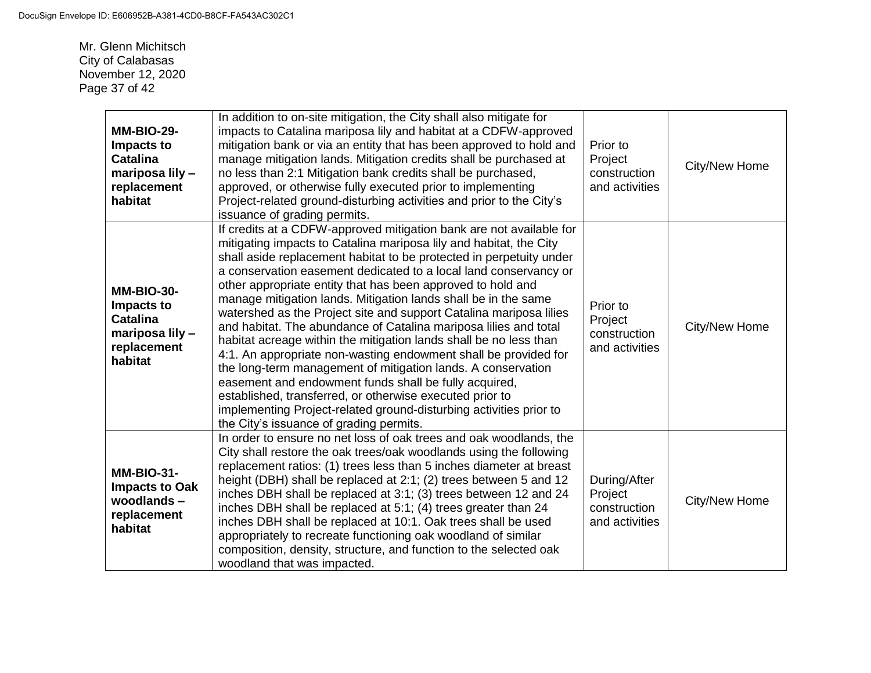Mr. Glenn Michitsch City of Calabasas November 12, 2020 Page 37 of 42

| <b>MM-BIO-29-</b><br>Impacts to<br><b>Catalina</b><br>mariposa lily -<br>replacement<br>habitat | In addition to on-site mitigation, the City shall also mitigate for<br>impacts to Catalina mariposa lily and habitat at a CDFW-approved<br>mitigation bank or via an entity that has been approved to hold and<br>manage mitigation lands. Mitigation credits shall be purchased at<br>no less than 2:1 Mitigation bank credits shall be purchased,<br>approved, or otherwise fully executed prior to implementing<br>Project-related ground-disturbing activities and prior to the City's<br>issuance of grading permits.                                                                                                                                                                                                                                                                                                                                                                                                                                                                                    | Prior to<br>Project<br>construction<br>and activities     | City/New Home |
|-------------------------------------------------------------------------------------------------|---------------------------------------------------------------------------------------------------------------------------------------------------------------------------------------------------------------------------------------------------------------------------------------------------------------------------------------------------------------------------------------------------------------------------------------------------------------------------------------------------------------------------------------------------------------------------------------------------------------------------------------------------------------------------------------------------------------------------------------------------------------------------------------------------------------------------------------------------------------------------------------------------------------------------------------------------------------------------------------------------------------|-----------------------------------------------------------|---------------|
| <b>MM-BIO-30-</b><br>Impacts to<br><b>Catalina</b><br>mariposa lily -<br>replacement<br>habitat | If credits at a CDFW-approved mitigation bank are not available for<br>mitigating impacts to Catalina mariposa lily and habitat, the City<br>shall aside replacement habitat to be protected in perpetuity under<br>a conservation easement dedicated to a local land conservancy or<br>other appropriate entity that has been approved to hold and<br>manage mitigation lands. Mitigation lands shall be in the same<br>watershed as the Project site and support Catalina mariposa lilies<br>and habitat. The abundance of Catalina mariposa lilies and total<br>habitat acreage within the mitigation lands shall be no less than<br>4:1. An appropriate non-wasting endowment shall be provided for<br>the long-term management of mitigation lands. A conservation<br>easement and endowment funds shall be fully acquired,<br>established, transferred, or otherwise executed prior to<br>implementing Project-related ground-disturbing activities prior to<br>the City's issuance of grading permits. | Prior to<br>Project<br>construction<br>and activities     | City/New Home |
| <b>MM-BIO-31-</b><br><b>Impacts to Oak</b><br>woodlands-<br>replacement<br>habitat              | In order to ensure no net loss of oak trees and oak woodlands, the<br>City shall restore the oak trees/oak woodlands using the following<br>replacement ratios: (1) trees less than 5 inches diameter at breast<br>height (DBH) shall be replaced at 2:1; (2) trees between 5 and 12<br>inches DBH shall be replaced at 3:1; (3) trees between 12 and 24<br>inches DBH shall be replaced at 5:1; (4) trees greater than 24<br>inches DBH shall be replaced at 10:1. Oak trees shall be used<br>appropriately to recreate functioning oak woodland of similar<br>composition, density, structure, and function to the selected oak<br>woodland that was impacted.                                                                                                                                                                                                                                                                                                                                              | During/After<br>Project<br>construction<br>and activities | City/New Home |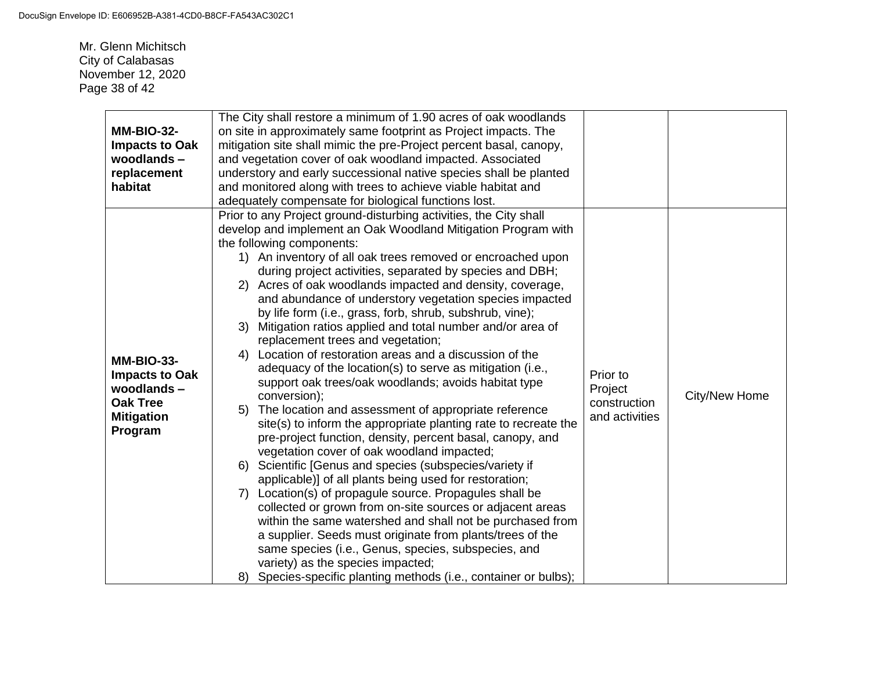Mr. Glenn Michitsch City of Calabasas November 12, 2020 Page 38 of 42

|                       | The City shall restore a minimum of 1.90 acres of oak woodlands     |                |               |  |  |
|-----------------------|---------------------------------------------------------------------|----------------|---------------|--|--|
| <b>MM-BIO-32-</b>     | on site in approximately same footprint as Project impacts. The     |                |               |  |  |
| <b>Impacts to Oak</b> | mitigation site shall mimic the pre-Project percent basal, canopy,  |                |               |  |  |
| woodlands-            | and vegetation cover of oak woodland impacted. Associated           |                |               |  |  |
| replacement           | understory and early successional native species shall be planted   |                |               |  |  |
| habitat               | and monitored along with trees to achieve viable habitat and        |                |               |  |  |
|                       | adequately compensate for biological functions lost.                |                |               |  |  |
|                       | Prior to any Project ground-disturbing activities, the City shall   |                |               |  |  |
|                       | develop and implement an Oak Woodland Mitigation Program with       |                |               |  |  |
|                       | the following components:                                           |                |               |  |  |
|                       | 1) An inventory of all oak trees removed or encroached upon         |                |               |  |  |
|                       | during project activities, separated by species and DBH;            |                |               |  |  |
|                       | 2) Acres of oak woodlands impacted and density, coverage,           |                |               |  |  |
|                       | and abundance of understory vegetation species impacted             |                |               |  |  |
|                       | by life form (i.e., grass, forb, shrub, subshrub, vine);            |                |               |  |  |
|                       | Mitigation ratios applied and total number and/or area of<br>3)     |                |               |  |  |
|                       | replacement trees and vegetation;                                   |                |               |  |  |
| <b>MM-BIO-33-</b>     | Location of restoration areas and a discussion of the<br>4)         |                |               |  |  |
| <b>Impacts to Oak</b> | adequacy of the location(s) to serve as mitigation (i.e.,           | Prior to       |               |  |  |
| woodlands-            | support oak trees/oak woodlands; avoids habitat type                | Project        |               |  |  |
| <b>Oak Tree</b>       | conversion);                                                        | construction   | City/New Home |  |  |
| <b>Mitigation</b>     | The location and assessment of appropriate reference<br>5)          | and activities |               |  |  |
| Program               | site(s) to inform the appropriate planting rate to recreate the     |                |               |  |  |
|                       | pre-project function, density, percent basal, canopy, and           |                |               |  |  |
|                       | vegetation cover of oak woodland impacted;                          |                |               |  |  |
|                       | Scientific [Genus and species (subspecies/variety if<br>6)          |                |               |  |  |
|                       | applicable)] of all plants being used for restoration;              |                |               |  |  |
|                       | Location(s) of propagule source. Propagules shall be<br>7)          |                |               |  |  |
|                       | collected or grown from on-site sources or adjacent areas           |                |               |  |  |
|                       | within the same watershed and shall not be purchased from           |                |               |  |  |
|                       | a supplier. Seeds must originate from plants/trees of the           |                |               |  |  |
|                       | same species (i.e., Genus, species, subspecies, and                 |                |               |  |  |
|                       | variety) as the species impacted;                                   |                |               |  |  |
|                       | Species-specific planting methods (i.e., container or bulbs);<br>8) |                |               |  |  |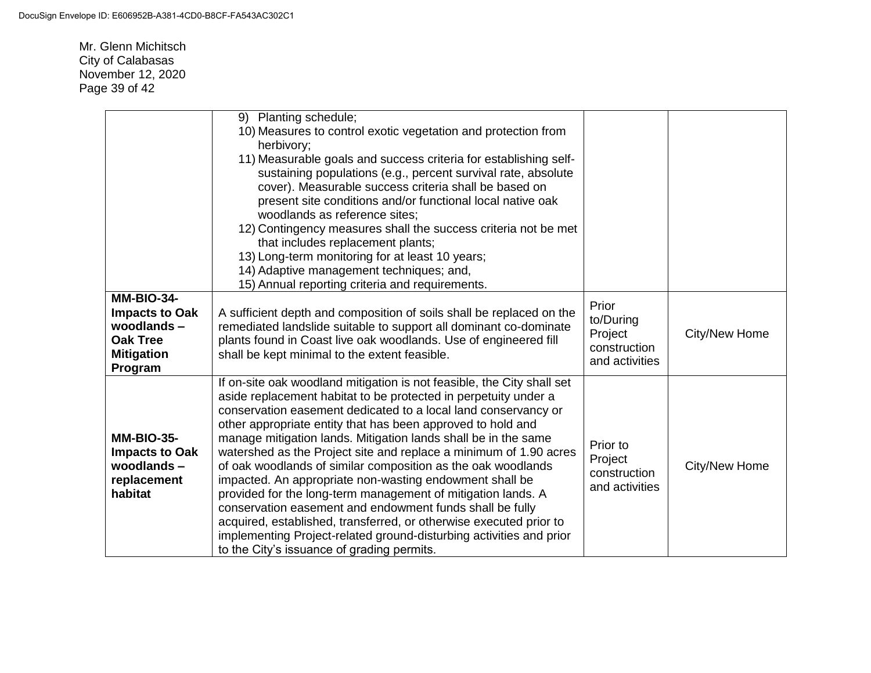Mr. Glenn Michitsch City of Calabasas November 12, 2020 Page 39 of 42

|                                                                                                             | 9) Planting schedule;<br>10) Measures to control exotic vegetation and protection from                                                                                                                                                                                                                                                                                                                                                                                                                                                                                                                                                                                                                                                                                                                                                                              |                                                                 |               |
|-------------------------------------------------------------------------------------------------------------|---------------------------------------------------------------------------------------------------------------------------------------------------------------------------------------------------------------------------------------------------------------------------------------------------------------------------------------------------------------------------------------------------------------------------------------------------------------------------------------------------------------------------------------------------------------------------------------------------------------------------------------------------------------------------------------------------------------------------------------------------------------------------------------------------------------------------------------------------------------------|-----------------------------------------------------------------|---------------|
|                                                                                                             | herbivory;<br>11) Measurable goals and success criteria for establishing self-<br>sustaining populations (e.g., percent survival rate, absolute<br>cover). Measurable success criteria shall be based on<br>present site conditions and/or functional local native oak<br>woodlands as reference sites;<br>12) Contingency measures shall the success criteria not be met<br>that includes replacement plants;<br>13) Long-term monitoring for at least 10 years;<br>14) Adaptive management techniques; and,<br>15) Annual reporting criteria and requirements.                                                                                                                                                                                                                                                                                                    |                                                                 |               |
| <b>MM-BIO-34-</b><br><b>Impacts to Oak</b><br>woodlands-<br><b>Oak Tree</b><br><b>Mitigation</b><br>Program | A sufficient depth and composition of soils shall be replaced on the<br>remediated landslide suitable to support all dominant co-dominate<br>plants found in Coast live oak woodlands. Use of engineered fill<br>shall be kept minimal to the extent feasible.                                                                                                                                                                                                                                                                                                                                                                                                                                                                                                                                                                                                      | Prior<br>to/During<br>Project<br>construction<br>and activities | City/New Home |
| <b>MM-BIO-35-</b><br><b>Impacts to Oak</b><br>woodlands-<br>replacement<br>habitat                          | If on-site oak woodland mitigation is not feasible, the City shall set<br>aside replacement habitat to be protected in perpetuity under a<br>conservation easement dedicated to a local land conservancy or<br>other appropriate entity that has been approved to hold and<br>manage mitigation lands. Mitigation lands shall be in the same<br>watershed as the Project site and replace a minimum of 1.90 acres<br>of oak woodlands of similar composition as the oak woodlands<br>impacted. An appropriate non-wasting endowment shall be<br>provided for the long-term management of mitigation lands. A<br>conservation easement and endowment funds shall be fully<br>acquired, established, transferred, or otherwise executed prior to<br>implementing Project-related ground-disturbing activities and prior<br>to the City's issuance of grading permits. | Prior to<br>Project<br>construction<br>and activities           | City/New Home |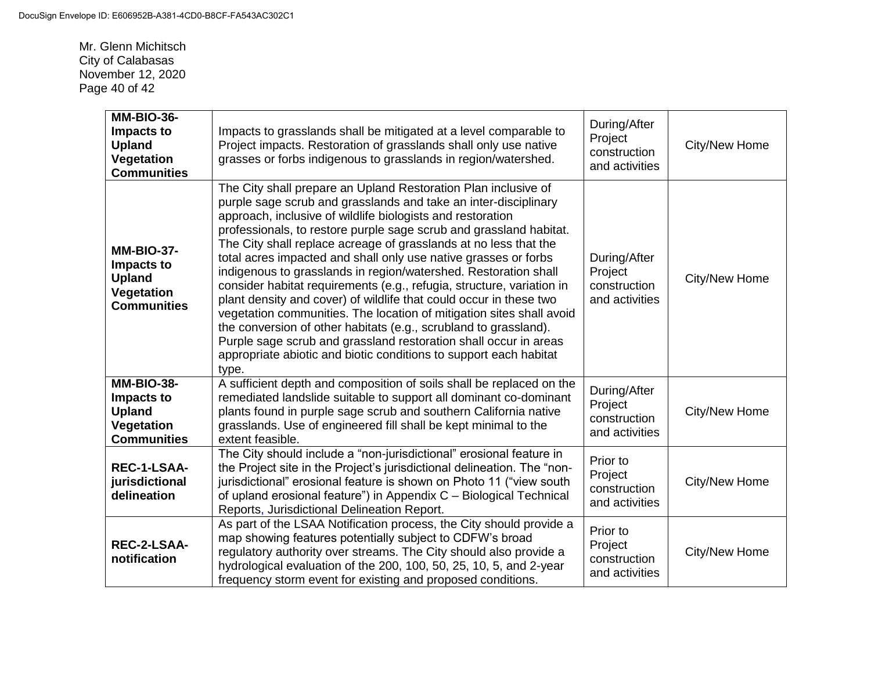Mr. Glenn Michitsch City of Calabasas November 12, 2020 Page 40 of 42

| <b>MM-BIO-36-</b><br>Impacts to<br><b>Upland</b><br><b>Vegetation</b><br><b>Communities</b> | Impacts to grasslands shall be mitigated at a level comparable to<br>Project impacts. Restoration of grasslands shall only use native<br>grasses or forbs indigenous to grasslands in region/watershed.                                                                                                                                                                                                                                                                                                                                                                                                                                                                                                                                                                                                                                                                                                                      | During/After<br>Project<br>construction<br>and activities | City/New Home |
|---------------------------------------------------------------------------------------------|------------------------------------------------------------------------------------------------------------------------------------------------------------------------------------------------------------------------------------------------------------------------------------------------------------------------------------------------------------------------------------------------------------------------------------------------------------------------------------------------------------------------------------------------------------------------------------------------------------------------------------------------------------------------------------------------------------------------------------------------------------------------------------------------------------------------------------------------------------------------------------------------------------------------------|-----------------------------------------------------------|---------------|
| <b>MM-BIO-37-</b><br>Impacts to<br><b>Upland</b><br>Vegetation<br><b>Communities</b>        | The City shall prepare an Upland Restoration Plan inclusive of<br>purple sage scrub and grasslands and take an inter-disciplinary<br>approach, inclusive of wildlife biologists and restoration<br>professionals, to restore purple sage scrub and grassland habitat.<br>The City shall replace acreage of grasslands at no less that the<br>total acres impacted and shall only use native grasses or forbs<br>indigenous to grasslands in region/watershed. Restoration shall<br>consider habitat requirements (e.g., refugia, structure, variation in<br>plant density and cover) of wildlife that could occur in these two<br>vegetation communities. The location of mitigation sites shall avoid<br>the conversion of other habitats (e.g., scrubland to grassland).<br>Purple sage scrub and grassland restoration shall occur in areas<br>appropriate abiotic and biotic conditions to support each habitat<br>type. | During/After<br>Project<br>construction<br>and activities | City/New Home |
| <b>MM-BIO-38-</b><br>Impacts to<br><b>Upland</b><br>Vegetation<br><b>Communities</b>        | A sufficient depth and composition of soils shall be replaced on the<br>remediated landslide suitable to support all dominant co-dominant<br>plants found in purple sage scrub and southern California native<br>grasslands. Use of engineered fill shall be kept minimal to the<br>extent feasible.                                                                                                                                                                                                                                                                                                                                                                                                                                                                                                                                                                                                                         | During/After<br>Project<br>construction<br>and activities | City/New Home |
| <b>REC-1-LSAA-</b><br>jurisdictional<br>delineation                                         | The City should include a "non-jurisdictional" erosional feature in<br>the Project site in the Project's jurisdictional delineation. The "non-<br>jurisdictional" erosional feature is shown on Photo 11 ("view south<br>of upland erosional feature") in Appendix C - Biological Technical<br>Reports, Jurisdictional Delineation Report.                                                                                                                                                                                                                                                                                                                                                                                                                                                                                                                                                                                   | Prior to<br>Project<br>construction<br>and activities     | City/New Home |
| <b>REC-2-LSAA-</b><br>notification                                                          | As part of the LSAA Notification process, the City should provide a<br>map showing features potentially subject to CDFW's broad<br>regulatory authority over streams. The City should also provide a<br>hydrological evaluation of the 200, 100, 50, 25, 10, 5, and 2-year<br>frequency storm event for existing and proposed conditions.                                                                                                                                                                                                                                                                                                                                                                                                                                                                                                                                                                                    | Prior to<br>Project<br>construction<br>and activities     | City/New Home |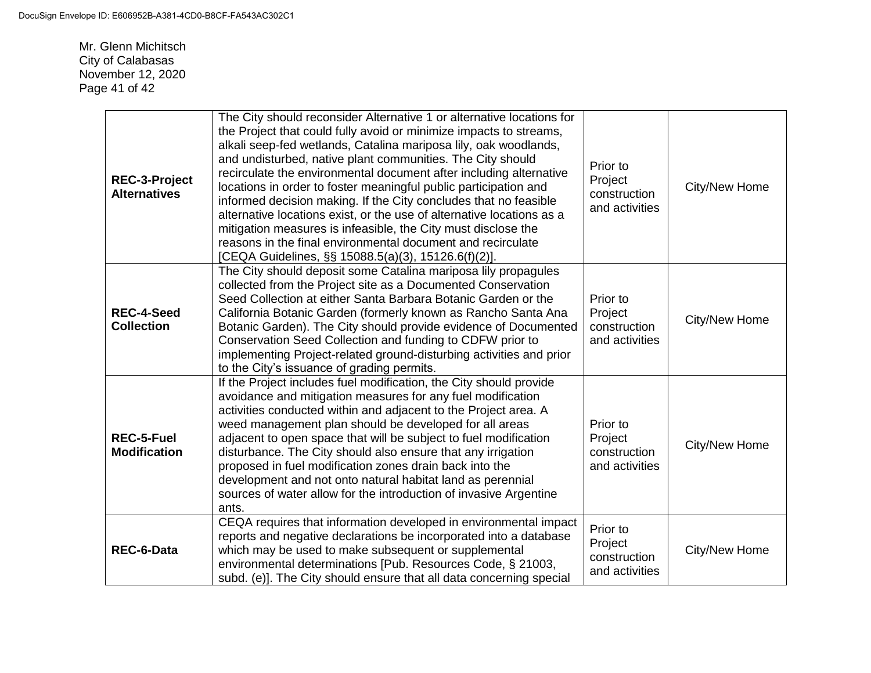Mr. Glenn Michitsch City of Calabasas November 12, 2020 Page 41 of 42

| <b>REC-3-Project</b><br><b>Alternatives</b> | The City should reconsider Alternative 1 or alternative locations for<br>the Project that could fully avoid or minimize impacts to streams,<br>alkali seep-fed wetlands, Catalina mariposa lily, oak woodlands,<br>and undisturbed, native plant communities. The City should<br>recirculate the environmental document after including alternative<br>locations in order to foster meaningful public participation and<br>informed decision making. If the City concludes that no feasible<br>alternative locations exist, or the use of alternative locations as a<br>mitigation measures is infeasible, the City must disclose the<br>reasons in the final environmental document and recirculate<br>[CEQA Guidelines, §§ 15088.5(a)(3), 15126.6(f)(2)]. | Prior to<br>Project<br>construction<br>and activities | City/New Home |
|---------------------------------------------|-------------------------------------------------------------------------------------------------------------------------------------------------------------------------------------------------------------------------------------------------------------------------------------------------------------------------------------------------------------------------------------------------------------------------------------------------------------------------------------------------------------------------------------------------------------------------------------------------------------------------------------------------------------------------------------------------------------------------------------------------------------|-------------------------------------------------------|---------------|
| <b>REC-4-Seed</b><br><b>Collection</b>      | The City should deposit some Catalina mariposa lily propagules<br>collected from the Project site as a Documented Conservation<br>Seed Collection at either Santa Barbara Botanic Garden or the<br>California Botanic Garden (formerly known as Rancho Santa Ana<br>Botanic Garden). The City should provide evidence of Documented<br>Conservation Seed Collection and funding to CDFW prior to<br>implementing Project-related ground-disturbing activities and prior<br>to the City's issuance of grading permits.                                                                                                                                                                                                                                       | Prior to<br>Project<br>construction<br>and activities | City/New Home |
| <b>REC-5-Fuel</b><br><b>Modification</b>    | If the Project includes fuel modification, the City should provide<br>avoidance and mitigation measures for any fuel modification<br>activities conducted within and adjacent to the Project area. A<br>weed management plan should be developed for all areas<br>adjacent to open space that will be subject to fuel modification<br>disturbance. The City should also ensure that any irrigation<br>proposed in fuel modification zones drain back into the<br>development and not onto natural habitat land as perennial<br>sources of water allow for the introduction of invasive Argentine<br>ants.                                                                                                                                                   | Prior to<br>Project<br>construction<br>and activities | City/New Home |
| <b>REC-6-Data</b>                           | CEQA requires that information developed in environmental impact<br>reports and negative declarations be incorporated into a database<br>which may be used to make subsequent or supplemental<br>environmental determinations [Pub. Resources Code, § 21003,<br>subd. (e)]. The City should ensure that all data concerning special                                                                                                                                                                                                                                                                                                                                                                                                                         | Prior to<br>Project<br>construction<br>and activities | City/New Home |